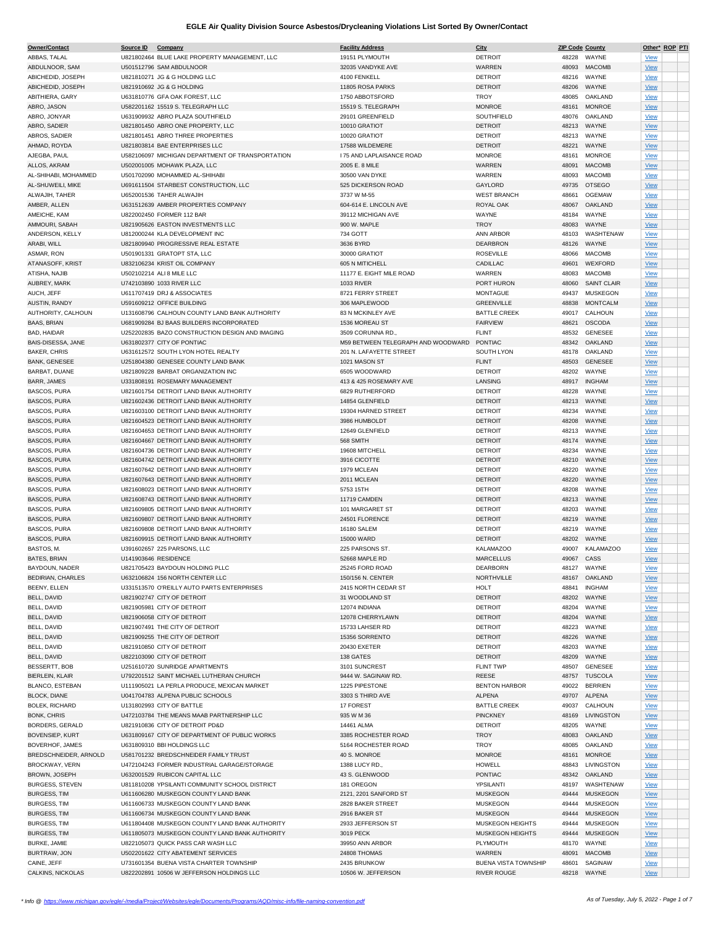| Owner/Contact            | Source ID | Company                                          | <b>Facility Address</b>            | City                        | <b>ZIP Code County</b> |                    |             | Other* ROP PTI |  |
|--------------------------|-----------|--------------------------------------------------|------------------------------------|-----------------------------|------------------------|--------------------|-------------|----------------|--|
| ABBAS, TALAL             |           | U821802464 BLUE LAKE PROPERTY MANAGEMENT, LLC    | 19151 PLYMOUTH                     | <b>DETROIT</b>              | 48228                  | WAYNE              | <b>View</b> |                |  |
| ABDULNOOR, SAM           |           | U501512796 SAM ABDULNOOR                         | 32035 VANDYKE AVE                  | WARREN                      | 48093                  | <b>MACOMB</b>      | <b>View</b> |                |  |
|                          |           |                                                  |                                    |                             |                        |                    |             |                |  |
| ABICHEDID, JOSEPH        |           | U821810271 JG & G HOLDING LLC                    | 4100 FENKELL                       | <b>DETROIT</b>              | 48216                  | WAYNE              | <b>View</b> |                |  |
| ABICHEDID, JOSEPH        |           | U821910692 JG & G HOLDING                        | 11805 ROSA PARKS                   | <b>DETROIT</b>              | 48206                  | WAYNE              | <b>View</b> |                |  |
| ABITHIERA, GARY          |           | U631810776 GFA OAK FOREST, LLC                   | 1750 ABBOTSFORD                    | <b>TROY</b>                 | 48085                  | OAKLAND            | <b>View</b> |                |  |
| ABRO, JASON              |           | U582201162 15519 S. TELEGRAPH LLC                | 15519 S. TELEGRAPH                 | <b>MONROE</b>               | 48161                  | <b>MONROE</b>      | <b>View</b> |                |  |
| ABRO, JONYAR             |           | U631909932 ABRO PLAZA SOUTHFIELD                 | 29101 GREENFIELD                   | SOUTHFIELD                  | 48076                  | OAKLAND            | <b>View</b> |                |  |
|                          |           |                                                  |                                    | <b>DETROIT</b>              |                        |                    |             |                |  |
| ABRO, SADIER             |           | U821801450 ABRO ONE PROPERTY, LLC                | 10010 GRATIOT                      |                             | 48213                  | WAYNE              | <b>View</b> |                |  |
| ABROS, SADIER            |           | U821801451 ABRO THREE PROPERTIES                 | 10020 GRATIOT                      | <b>DETROIT</b>              | 48213                  | WAYNE              | <b>View</b> |                |  |
| AHMAD, ROYDA             |           | U821803814 BAE ENTERPRISES LLC                   | 17588 WILDEMERE                    | <b>DETROIT</b>              | 48221                  | WAYNE              | <b>View</b> |                |  |
| AJEGBA, PAUL             |           | U582106097 MICHIGAN DEPARTMENT OF TRANSPORTATION | <b>175 AND LAPLAISANCE ROAD</b>    | <b>MONROE</b>               | 48161                  | <b>MONROE</b>      | <b>View</b> |                |  |
| ALLOS, AKRAM             |           | U502001005 MOHAWK PLAZA, LLC                     | 2005 E. 8 MILE                     | WARREN                      | 48091                  | <b>MACOMB</b>      | <b>View</b> |                |  |
|                          |           |                                                  |                                    |                             |                        |                    |             |                |  |
| AL-SHIHABI, MOHAMMED     |           | U501702090 MOHAMMED AL-SHIHABI                   | 30500 VAN DYKE                     | WARREN                      | 48093                  | <b>MACOMB</b>      | <b>View</b> |                |  |
| AL-SHUWEILI, MIKE        |           | U691611504 STARBEST CONSTRUCTION, LLC            | 525 DICKERSON ROAD                 | GAYLORD                     | 49735                  | <b>OTSEGO</b>      | <b>View</b> |                |  |
| ALWAJIH, TAHER           |           | U652001536 TAHER ALWAJIH                         | 3737 W M-55                        | <b>WEST BRANCH</b>          | 48661                  | <b>OGEMAW</b>      | <b>View</b> |                |  |
| AMBER, ALLEN             |           | U631512639 AMBER PROPERTIES COMPANY              | 604-614 E. LINCOLN AVE             | ROYAL OAK                   | 48067                  | OAKLAND            | <b>View</b> |                |  |
| AMEICHE, KAM             |           | U822002450 FORMER 112 BAR                        | 39112 MICHIGAN AVE                 | WAYNE                       | 48184                  | WAYNE              | <b>View</b> |                |  |
|                          |           |                                                  |                                    |                             |                        |                    |             |                |  |
| AMMOURI, SABAH           |           | U821905626 EASTON INVESTMENTS LLC                | 900 W. MAPLE                       | <b>TROY</b>                 | 48083                  | WAYNE              | <b>View</b> |                |  |
| ANDERSON, KELLY          |           | U812000244 KLA DEVELOPMENT INC                   | 734 GOTT                           | ANN ARBOR                   | 48103                  | WASHTENAW          | <b>View</b> |                |  |
| ARABI, WILL              |           | U821809940 PROGRESSIVE REAL ESTATE               | 3636 BYRD                          | <b>DEARBRON</b>             | 48126                  | WAYNE              | <b>View</b> |                |  |
| ASMAR, RON               |           | U501901331 GRATOPT STA, LLC                      | 30000 GRATIOT                      | <b>ROSEVILLE</b>            | 48066                  | <b>MACOMB</b>      | <b>View</b> |                |  |
| ATANASOFF, KRIST         |           | U832106234 KRIST OIL COMPANY                     | 605 N MITICHELL                    | CADILLAC                    | 49601                  | WEXFORD            | <b>View</b> |                |  |
|                          |           |                                                  |                                    |                             |                        |                    |             |                |  |
| ATISHA, NAJIB            |           | U502102214 ALI 8 MILE LLC                        | 11177 E. EIGHT MILE ROAD           | WARREN                      | 48083                  | <b>MACOMB</b>      | <b>View</b> |                |  |
| AUBREY, MARK             |           | U742103890 1033 RIVER LLC                        | <b>1033 RIVER</b>                  | PORT HURON                  | 48060                  | <b>SAINT CLAIR</b> | <b>View</b> |                |  |
| AUCH, JEFF               |           | U611707419 DRJ & ASSOCIATES                      | 8721 FERRY STREET                  | <b>MONTAGUE</b>             | 49437                  | <b>MUSKEGON</b>    | <b>View</b> |                |  |
| AUSTIN, RANDY            |           | U591609212 OFFICE BUILDING                       | 306 MAPLEWOOD                      | <b>GREENVILLE</b>           | 48838                  | <b>MONTCALM</b>    | <b>View</b> |                |  |
| AUTHORITY, CALHOUN       |           | U131608796 CALHOUN COUNTY LAND BANK AUTHORITY    | 83 N MCKINLEY AVE                  | <b>BATTLE CREEK</b>         | 49017                  | CALHOUN            | <b>View</b> |                |  |
|                          |           |                                                  |                                    |                             |                        |                    |             |                |  |
| <b>BAAS, BRIAN</b>       |           | U681909284 BJ BAAS BUILDERS INCORPORATED         | 1536 MOREAU ST                     | <b>FAIRVIEW</b>             | 48621                  | <b>OSCODA</b>      | <b>View</b> |                |  |
| BAD, HAIDAR              |           | U252202835 BAZO CONSTRUCTION DESIGN AND IMAGING  | 3509 CORUNNA RD.,                  | <b>FLINT</b>                | 48532                  | <b>GENESEE</b>     | <b>View</b> |                |  |
| BAIS-DISESSA, JANE       |           | U631802377 CITY OF PONTIAC                       | M59 BETWEEN TELEGRAPH AND WOODWARD | PONTIAC                     | 48342                  | OAKLAND            | <b>View</b> |                |  |
| <b>BAKER, CHRIS</b>      |           | U631612572 SOUTH LYON HOTEL REALTY               | 201 N. LAFAYETTE STREET            | SOUTH LYON                  | 48178                  | OAKLAND            |             |                |  |
|                          |           |                                                  |                                    |                             |                        |                    | <b>View</b> |                |  |
| <b>BANK, GENESEE</b>     |           | U251804380 GENESEE COUNTY LAND BANK              | 1021 MASON ST                      | <b>FLINT</b>                | 48503                  | <b>GENESEE</b>     | <b>View</b> |                |  |
| BARBAT, DUANE            |           | U821809228 BARBAT ORGANIZATION INC               | 6505 WOODWARD                      | <b>DETROIT</b>              | 48202                  | WAYNE              | <b>View</b> |                |  |
| BARR, JAMES              |           | U331808191 ROSEMARY MANAGEMENT                   | 413 & 425 ROSEMARY AVE             | LANSING                     | 48917                  | <b>INGHAM</b>      | <b>View</b> |                |  |
| <b>BASCOS, PURA</b>      |           | U821601754 DETROIT LAND BANK AUTHORITY           | 6829 RUTHERFORD                    | <b>DETROIT</b>              | 48228                  | WAYNE              | <b>View</b> |                |  |
|                          |           |                                                  |                                    |                             |                        |                    |             |                |  |
| <b>BASCOS, PURA</b>      |           | U821602436 DETROIT LAND BANK AUTHORITY           | 14854 GLENFIELD                    | <b>DETROIT</b>              | 48213                  | WAYNE              | <b>View</b> |                |  |
| <b>BASCOS, PURA</b>      |           | U821603100 DETROIT LAND BANK AUTHORITY           | 19304 HARNED STREET                | <b>DETROIT</b>              | 48234                  | WAYNE              | <b>View</b> |                |  |
| <b>BASCOS, PURA</b>      |           | U821604523 DETROIT LAND BANK AUTHORITY           | 3986 HUMBOLDT                      | <b>DETROIT</b>              | 48208                  | WAYNE              | <b>View</b> |                |  |
| BASCOS, PURA             |           | U821604653 DETROIT LAND BANK AUTHORITY           | 12649 GLENFIELD                    | <b>DETROIT</b>              | 48213                  | WAYNE              | View        |                |  |
|                          |           |                                                  |                                    |                             |                        |                    |             |                |  |
| <b>BASCOS, PURA</b>      |           | U821604667 DETROIT LAND BANK AUTHORITY           | 568 SMITH                          | <b>DETROIT</b>              | 48174                  | WAYNE              | <b>View</b> |                |  |
| <b>BASCOS, PURA</b>      |           | U821604736 DETROIT LAND BANK AUTHORITY           | 19608 MITCHELL                     | <b>DETROIT</b>              | 48234                  | WAYNE              | <b>View</b> |                |  |
| <b>BASCOS, PURA</b>      |           | U821604742 DETROIT LAND BANK AUTHORITY           | 3916 CICOTTE                       | <b>DETROIT</b>              | 48210                  | WAYNE              | <b>View</b> |                |  |
| <b>BASCOS, PURA</b>      |           | U821607642 DETROIT LAND BANK AUTHORITY           | 1979 MCLEAN                        | <b>DETROIT</b>              | 48220                  | WAYNE              | <b>View</b> |                |  |
| <b>BASCOS, PURA</b>      |           | U821607643 DETROIT LAND BANK AUTHORITY           | 2011 MCLEAN                        | <b>DETROIT</b>              | 48220                  | WAYNE              | <b>View</b> |                |  |
|                          |           |                                                  |                                    |                             |                        |                    |             |                |  |
| <b>BASCOS, PURA</b>      |           | U821608023 DETROIT LAND BANK AUTHORITY           | 5753 15TH                          | <b>DETROIT</b>              | 48208                  | WAYNE              | <b>View</b> |                |  |
| <b>BASCOS, PURA</b>      |           | U821608743 DETROIT LAND BANK AUTHORITY           | 11719 CAMDEN                       | <b>DETROIT</b>              | 48213                  | WAYNE              | <b>View</b> |                |  |
| <b>BASCOS, PURA</b>      |           | U821609805 DETROIT LAND BANK AUTHORITY           | 101 MARGARET ST                    | <b>DETROIT</b>              | 48203                  | WAYNE              | <b>View</b> |                |  |
| <b>BASCOS, PURA</b>      |           | U821609807 DETROIT LAND BANK AUTHORITY           | 24501 FLORENCE                     | <b>DETROIT</b>              | 48219                  | WAYNE              | <b>View</b> |                |  |
| BASCOS, PURA             |           | U821609808 DETROIT LAND BANK AUTHORITY           | 16180 SALEM                        | <b>DETROIT</b>              | 48219                  | WAYNE              |             |                |  |
|                          |           |                                                  |                                    |                             |                        |                    | <b>View</b> |                |  |
| <b>BASCOS, PURA</b>      |           | U821609915 DETROIT LAND BANK AUTHORITY           | 15000 WARD                         | <b>DETROIT</b>              | 48202                  | WAYNE              | <b>View</b> |                |  |
| BASTOS, M.               |           | U391602657 225 PARSONS, LLC                      | 225 PARSONS ST.                    | <b>KALAMAZOO</b>            | 49007                  | <b>KALAMAZOO</b>   | <b>View</b> |                |  |
| <b>BATES, BRIAN</b>      |           | U141903646 RESIDENCE                             | 52668 MAPLE RD                     | <b>MARCELLUS</b>            | 49067 CASS             |                    | <b>View</b> |                |  |
| BAYDOUN, NADER           |           | U821705423 BAYDOUN HOLDING PLLC                  | 25245 FORD ROAD                    | DEARBORN                    | 48127                  | WAYNE              |             |                |  |
|                          |           |                                                  |                                    |                             |                        |                    | <u>View</u> |                |  |
| <b>BEDIRIAN, CHARLES</b> |           | U632106824 156 NORTH CENTER LLC                  | 150/156 N. CENTER                  | NORTHVILLE                  |                        | 48167 OAKLAND      | <b>View</b> |                |  |
| <b>BEENY, ELLEN</b>      |           | U331513570 O'REILLY AUTO PARTS ENTERPRISES       | 2415 NORTH CEDAR ST                | <b>HOLT</b>                 | 48841                  | <b>INGHAM</b>      | <b>View</b> |                |  |
| BELL, DAVID              |           | U821902747 CITY OF DETROIT                       | 31 WOODLAND ST                     | <b>DETROIT</b>              | 48202                  | WAYNE              | <b>View</b> |                |  |
| BELL, DAVID              |           | U821905981 CITY OF DETROIT                       | 12074 INDIANA                      | <b>DETROIT</b>              | 48204                  | WAYNE              | <b>View</b> |                |  |
| BELL, DAVID              |           | U821906058 CITY OF DETROIT                       | 12078 CHERRYLAWN                   | <b>DETROIT</b>              | 48204                  | WAYNE              | <b>View</b> |                |  |
|                          |           |                                                  |                                    |                             |                        |                    |             |                |  |
| BELL, DAVID              |           | U821907491 THE CITY OF DETROIT                   | 15733 LAHSER RD                    | <b>DETROIT</b>              | 48223                  | WAYNE              | <b>View</b> |                |  |
| BELL, DAVID              |           | U821909255 THE CITY OF DETROIT                   | 15356 SORRENTO                     | <b>DETROIT</b>              | 48226                  | WAYNE              | <b>View</b> |                |  |
| BELL, DAVID              |           | U821910850 CITY OF DETROIT                       | 20430 EXETER                       | <b>DETROIT</b>              | 48203                  | WAYNE              | <b>View</b> |                |  |
| BELL, DAVID              |           | U822103090 CITY OF DETROIT                       | 138 GATES                          | <b>DETROIT</b>              | 48209                  | WAYNE              | <b>View</b> |                |  |
| BESSERTT, BOB            |           | U251610720 SUNRIDGE APARTMENTS                   | 3101 SUNCREST                      | <b>FLINT TWP</b>            | 48507                  | <b>GENESEE</b>     | <b>View</b> |                |  |
|                          |           |                                                  |                                    |                             |                        |                    |             |                |  |
| <b>BIERLEIN, KLAIR</b>   |           | U792201512 SAINT MICHAEL LUTHERAN CHURCH         | 9444 W. SAGINAW RD.                | <b>REESE</b>                | 48757                  | <b>TUSCOLA</b>     | <b>View</b> |                |  |
| BLANCO, ESTEBAN          |           | U111905021 LA PERLA PRODUCE, MEXICAN MARKET      | 1225 PIPESTONE                     | <b>BENTON HARBOR</b>        | 49022                  | <b>BERRIEN</b>     | <b>View</b> |                |  |
| <b>BLOCK, DIANE</b>      |           | U041704783 ALPENA PUBLIC SCHOOLS                 | 3303 S THIRD AVE                   | <b>ALPENA</b>               | 49707                  | ALPENA             | <b>View</b> |                |  |
| <b>BOLEK, RICHARD</b>    |           | U131802993 CITY OF BATTLE                        | 17 FOREST                          | <b>BATTLE CREEK</b>         | 49037                  | CALHOUN            | <b>View</b> |                |  |
| <b>BONK, CHRIS</b>       |           | U472103784 THE MEANS MAAB PARTNERSHIP LLC        |                                    | <b>PINCKNEY</b>             |                        | LIVINGSTON         |             |                |  |
|                          |           |                                                  | 935 W M 36                         |                             | 48169                  |                    | <b>View</b> |                |  |
| BORDERS, GERALD          |           | U821910836 CITY OF DETROIT PD&D                  | 14461 ALMA                         | <b>DETROIT</b>              | 48205                  | WAYNE              | <b>View</b> |                |  |
| <b>BOVENSIEP, KURT</b>   |           | U631809167 CITY OF DEPARTMENT OF PUBLIC WORKS    | 3385 ROCHESTER ROAD                | <b>TROY</b>                 | 48083                  | OAKLAND            | <b>View</b> |                |  |
| BOVERHOF, JAMES          |           | U631809310 BBI HOLDINGS LLC                      | 5164 ROCHESTER ROAD                | TROY                        | 48085                  | OAKLAND            | <b>View</b> |                |  |
| BREDSCHNEIDER, ARNOLD    |           | U581701232 BREDSCHNEIDER FAMILY TRUST            | 40 S. MONROE                       | <b>MONROE</b>               | 48161                  | <b>MONROE</b>      | <b>View</b> |                |  |
|                          |           |                                                  |                                    |                             |                        |                    |             |                |  |
| <b>BROCKWAY, VERN</b>    |           | U472104243 FORMER INDUSTRIAL GARAGE/STORAGE      | 1388 LUCY RD.,                     | HOWELL                      | 48843                  | LIVINGSTON         | <b>View</b> |                |  |
| BROWN, JOSEPH            |           | U632001529 RUBICON CAPITAL LLC                   | 43 S. GLENWOOD                     | <b>PONTIAC</b>              | 48342                  | OAKLAND            | <b>View</b> |                |  |
| <b>BURGESS, STEVEN</b>   |           | U811810208 YPSILANTI COMMUNITY SCHOOL DISTRICT   | 181 OREGON                         | YPSILANTI                   | 48197                  | WASHTENAW          | <b>View</b> |                |  |
| <b>BURGESS, TIM</b>      |           | U611606280 MUSKEGON COUNTY LAND BANK             | 2121, 2201 SANFORD ST              | <b>MUSKEGON</b>             | 49444                  | <b>MUSKEGON</b>    | <b>View</b> |                |  |
| <b>BURGESS, TIM</b>      |           | U611606733 MUSKEGON COUNTY LAND BANK             | 2828 BAKER STREET                  | <b>MUSKEGON</b>             | 49444                  | <b>MUSKEGON</b>    |             |                |  |
|                          |           |                                                  |                                    |                             |                        |                    | <b>View</b> |                |  |
| <b>BURGESS, TIM</b>      |           | U611606734 MUSKEGON COUNTY LAND BANK             | 2916 BAKER ST                      | <b>MUSKEGON</b>             | 49444                  | <b>MUSKEGON</b>    | <b>View</b> |                |  |
| <b>BURGESS, TIM</b>      |           | U611804408 MUSKEGON COUNTY LAND BANK AUTHORITY   | 2933 JEFFERSON ST                  | MUSKEGON HEIGHTS            | 49444                  | <b>MUSKEGON</b>    | <b>View</b> |                |  |
| <b>BURGESS, TIM</b>      |           | U611805073 MUSKEGON COUNTY LAND BANK AUTHORITY   | 3019 PECK                          | MUSKEGON HEIGHTS            | 49444                  | <b>MUSKEGON</b>    | <b>View</b> |                |  |
| BURKE, JAMIE             |           | U822105073 QUICK PASS CAR WASH LLC               | 39950 ANN ARBOR                    | PLYMOUTH                    | 48170                  | WAYNE              | <u>View</u> |                |  |
|                          |           |                                                  |                                    |                             |                        |                    |             |                |  |
| BURTRAW, JON             |           | U502201622 CITY ABATEMENT SERVICES               | 24808 THOMAS                       | WARREN                      | 48091                  | <b>MACOMB</b>      | <b>View</b> |                |  |
| CAINE, JEFF              |           | U731601354 BUENA VISTA CHARTER TOWNSHIP          | 2435 BRUNKOW                       | <b>BUENA VISTA TOWNSHIP</b> | 48601                  | SAGINAW            | <b>View</b> |                |  |
| CALKINS, NICKOLAS        |           | U822202891 10506 W JEFFERSON HOLDINGS LLC        | 10506 W. JEFFERSON                 | <b>RIVER ROUGE</b>          |                        | 48218 WAYNE        | View        |                |  |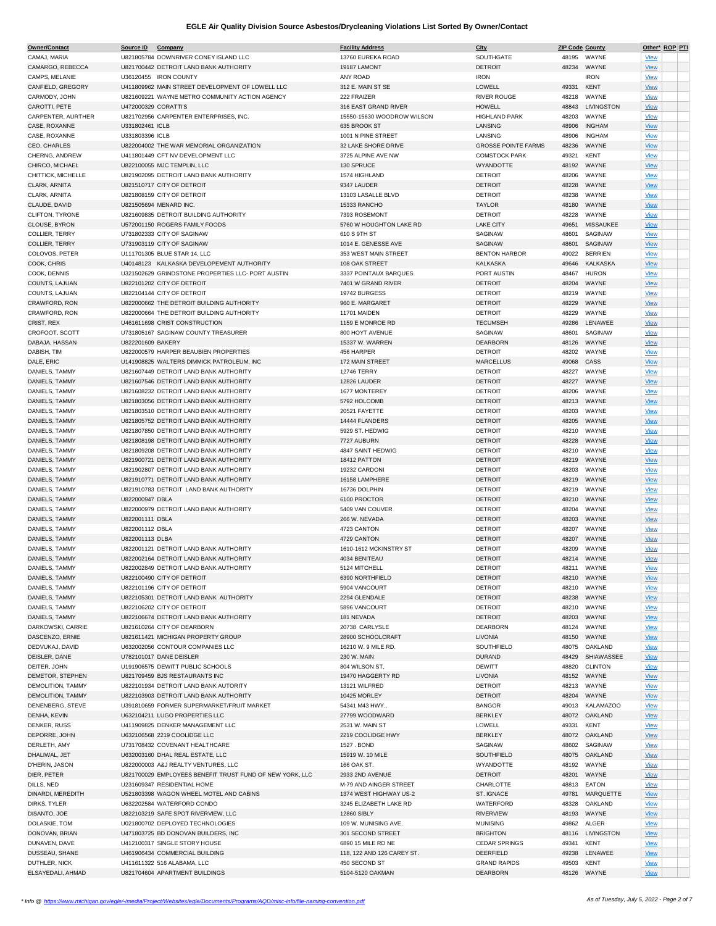| Owner/Contact      | Source ID            | Company                                                  | <b>Facility Address</b>    | City                       | <b>ZIP Code County</b> |                   |             | Other* ROP PTI |  |
|--------------------|----------------------|----------------------------------------------------------|----------------------------|----------------------------|------------------------|-------------------|-------------|----------------|--|
| CAMAJ, MARIA       |                      | U821805784 DOWNRIVER CONEY ISLAND LLC                    | 13760 EUREKA ROAD          | SOUTHGATE                  | 48195                  | WAYNE             | <b>View</b> |                |  |
| CAMARGO, REBECCA   |                      | U821700442 DETROIT LAND BANK AUTHORITY                   | 19187 LAMONT               | <b>DETROIT</b>             | 48234                  | WAYNE             | <b>View</b> |                |  |
| CAMPS, MELANIE     |                      | U36120455 IRON COUNTY                                    | ANY ROAD                   | <b>IRON</b>                |                        | <b>IRON</b>       |             |                |  |
|                    |                      |                                                          |                            |                            |                        |                   | <b>View</b> |                |  |
| CANFIELD, GREGORY  |                      | U411809962 MAIN STREET DEVELOPMENT OF LOWELL LLC         | 312 E. MAIN ST SE          | LOWELL                     | 49331                  | <b>KENT</b>       | <b>View</b> |                |  |
| CARMODY, JOHN      |                      | U821609221 WAYNE METRO COMMUNITY ACTION AGENCY           | 222 FRAIZER                | <b>RIVER ROUGE</b>         | 48218                  | WAYNE             | <b>View</b> |                |  |
| CAROTTI, PETE      | U472000329 CORATTI'S |                                                          | 316 EAST GRAND RIVER       | <b>HOWELL</b>              | 48843                  | <b>LIVINGSTON</b> | <b>View</b> |                |  |
| CARPENTER, AURTHER |                      | U821702956 CARPENTER ENTERPRISES. INC.                   | 15550-15630 WOODROW WILSON | <b>HIGHLAND PARK</b>       | 48203                  | WAYNE             | <b>View</b> |                |  |
| CASE, ROXANNE      | U331802461 ICLB      |                                                          | 635 BROOK ST               | LANSING                    | 48906                  | <b>INGHAM</b>     | <b>View</b> |                |  |
| CASE, ROXANNE      | U331803396 ICLB      |                                                          | 1001 N PINE STREET         | LANSING                    | 48906                  | <b>INGHAM</b>     | <b>View</b> |                |  |
| CEO, CHARLES       |                      | U822004002 THE WAR MEMORIAL ORGANIZATION                 | 32 LAKE SHORE DRIVE        | <b>GROSSE POINTE FARMS</b> | 48236                  | WAYNE             |             |                |  |
|                    |                      |                                                          |                            |                            |                        |                   | <b>View</b> |                |  |
| CHERNG, ANDREW     |                      | U411801449 CFT NV DEVELOPMENT LLC                        | 3725 ALPINE AVE NW         | <b>COMSTOCK PARK</b>       | 49321                  | <b>KENT</b>       | <b>View</b> |                |  |
| CHIRCO, MICHAEL    |                      | U822100055 MJC TEMPLIN, LLC                              | 130 SPRUCE                 | WYANDOTTE                  | 48192                  | WAYNE             | <b>View</b> |                |  |
| CHITTICK, MICHELLE |                      | U821902095 DETROIT LAND BANK AUTHORITY                   | 1574 HIGHLAND              | <b>DETROIT</b>             | 48206                  | WAYNE             | <b>View</b> |                |  |
| CLARK, ARNITA      |                      | U821510717 CITY OF DETROIT                               | 9347 LAUDER                | <b>DETROIT</b>             | 48228                  | WAYNE             | <b>View</b> |                |  |
| CLARK, ARNITA      |                      | U821808159 CITY OF DETROIT                               | 13103 LASALLE BLVD         | <b>DETROIT</b>             | 48238                  | WAYNE             | <b>View</b> |                |  |
| CLAUDE, DAVID      |                      | U821505694 MENARD INC.                                   | 15333 RANCHO               | <b>TAYLOR</b>              | 48180                  | WAYNE             | <b>View</b> |                |  |
| CLIFTON, TYRONE    |                      | U821609835 DETROIT BUILDING AUTHORITY                    | 7393 ROSEMONT              |                            | 48228                  | WAYNE             |             |                |  |
|                    |                      |                                                          |                            | <b>DETROIT</b>             |                        |                   | <b>View</b> |                |  |
| CLOUSE, BYRON      |                      | U572001150 ROGERS FAMILY FOODS                           | 5760 W HOUGHTON LAKE RD    | <b>LAKE CITY</b>           | 49651                  | <b>MISSAUKEE</b>  | <b>View</b> |                |  |
| COLLIER, TERRY     |                      | U731802333 CITY OF SAGINAW                               | 610 S 9TH ST               | SAGINAW                    | 48601                  | SAGINAW           | <b>View</b> |                |  |
| COLLIER, TERRY     |                      | U731903119 CITY OF SAGINAW                               | 1014 E. GENESSE AVE        | SAGINAW                    | 48601                  | SAGINAW           | <b>View</b> |                |  |
| COLOVOS, PETER     |                      | U111701305 BLUE STAR 14, LLC                             | 353 WEST MAIN STREET       | <b>BENTON HARBOR</b>       | 49022                  | <b>BERRIEN</b>    | <b>View</b> |                |  |
| COOK, CHRIS        |                      | U40148123 KALKASKA DEVELOPEMENT AUTHORITY                | 108 OAK STREET             | <b>KALKASKA</b>            | 49646                  | <b>KALKASKA</b>   | <b>View</b> |                |  |
| COOK, DENNIS       |                      | U321502629 GRINDSTONE PROPERTIES LLC- PORT AUSTIN        | 3337 POINTAUX BARQUES      | PORT AUSTIN                | 48467                  | <b>HURON</b>      | <b>View</b> |                |  |
|                    |                      |                                                          |                            |                            |                        |                   |             |                |  |
| COUNTS, LAJUAN     |                      | U822101202 CITY OF DETROIT                               | 7401 W GRAND RIVER         | <b>DETROIT</b>             | 48204                  | WAYNE             | <b>View</b> |                |  |
| COUNTS, LAJUAN     |                      | U822104144 CITY OF DETROIT                               | 19742 BURGESS              | <b>DETROIT</b>             | 48219                  | WAYNE             | <b>View</b> |                |  |
| CRAWFORD, RON      |                      | U822000662 THE DETROIT BUILDING AUTHORITY                | 960 E. MARGARET            | <b>DETROIT</b>             | 48229                  | WAYNE             | <b>View</b> |                |  |
| CRAWFORD, RON      |                      | U822000664 THE DETROIT BUILDING AUTHORITY                | 11701 MAIDEN               | <b>DETROIT</b>             | 48229                  | WAYNE             | <b>View</b> |                |  |
| CRIST, REX         |                      | U461611698 CRIST CONSTRUCTION                            | 1159 E MONROE RD           | <b>TECUMSEH</b>            | 49286                  | LENAWEE           | <b>View</b> |                |  |
| CROFOOT, SCOTT     |                      | U731805167 SAGINAW COUNTY TREASURER                      | 800 HOYT AVENUE            | SAGINAW                    | 48601                  | SAGINAW           | <b>View</b> |                |  |
|                    |                      |                                                          |                            |                            |                        |                   |             |                |  |
| DABAJA, HASSAN     | U822201609 BAKERY    |                                                          | 15337 W. WARREN            | <b>DEARBORN</b>            | 48126                  | WAYNE             | <b>View</b> |                |  |
| DABISH, TIM        |                      | U822000579 HARPER BEAUBIEN PROPERTIES                    | 456 HARPER                 | <b>DETROIT</b>             | 48202                  | WAYNE             | <b>View</b> |                |  |
| DALE, ERIC         |                      | U141908825 WALTERS DIMMICK PATROLEUM. INC                | 172 MAIN STREET            | <b>MARCELLUS</b>           | 49068                  | CASS              | <b>View</b> |                |  |
| DANIELS, TAMMY     |                      | U821607449 DETROIT LAND BANK AUTHORITY                   | <b>12746 TERRY</b>         | <b>DETROIT</b>             | 48227                  | WAYNE             | <b>View</b> |                |  |
| DANIELS, TAMMY     |                      | U821607546 DETROIT LAND BANK AUTHORITY                   | 12826 LAUDER               | <b>DETROIT</b>             | 48227                  | WAYNE             | <b>View</b> |                |  |
| DANIELS, TAMMY     |                      | U821608232 DETROIT LAND BANK AUTHORITY                   | 1677 MONTEREY              | <b>DETROIT</b>             | 48206                  | WAYNE             | <b>View</b> |                |  |
|                    |                      | U821803056 DETROIT LAND BANK AUTHORITY                   | 5792 HOLCOMB               | <b>DETROIT</b>             | 48213                  | WAYNE             |             |                |  |
| DANIELS, TAMMY     |                      |                                                          |                            |                            |                        |                   | <b>View</b> |                |  |
| DANIELS, TAMMY     |                      | U821803510 DETROIT LAND BANK AUTHORITY                   | 20521 FAYETTE              | <b>DETROIT</b>             | 48203                  | WAYNE             | <b>View</b> |                |  |
| DANIELS, TAMMY     |                      | U821805752 DETROIT LAND BANK AUTHORITY                   | 14444 FLANDERS             | <b>DETROIT</b>             | 48205                  | WAYNE             | <b>View</b> |                |  |
| DANIELS, TAMMY     |                      | U821807850 DETROIT LAND BANK AUTHORITY                   | 5929 ST. HEDWIG            | <b>DETROIT</b>             | 48210                  | WAYNE             | <b>View</b> |                |  |
| DANIELS, TAMMY     |                      | U821808198 DETROIT LAND BANK AUTHORITY                   | 7727 AUBURN                | <b>DETROIT</b>             | 48228                  | WAYNE             | <b>View</b> |                |  |
| DANIELS, TAMMY     |                      | U821809208 DETROIT LAND BANK AUTHORITY                   | 4847 SAINT HEDWIG          | <b>DETROIT</b>             | 48210                  | WAYNE             | <b>View</b> |                |  |
| DANIELS, TAMMY     |                      | U821900721 DETROIT LAND BANK AUTHORITY                   | 18412 PATTON               | <b>DETROIT</b>             | 48219                  | WAYNE             |             |                |  |
|                    |                      |                                                          |                            |                            |                        |                   | <b>View</b> |                |  |
| DANIELS, TAMMY     |                      | U821902807 DETROIT LAND BANK AUTHORITY                   | 19232 CARDONI              | <b>DETROIT</b>             | 48203                  | WAYNE             | <b>View</b> |                |  |
| DANIELS, TAMMY     |                      | U821910771 DETROIT LAND BANK AUTHORITY                   | 16158 LAMPHERE             | <b>DETROIT</b>             | 48219                  | WAYNE             | <b>View</b> |                |  |
| DANIELS, TAMMY     |                      | U821910783 DETROIT LAND BANK AUTHORITY                   | 16736 DOLPHIN              | <b>DETROIT</b>             | 48219                  | WAYNE             | <b>View</b> |                |  |
| DANIELS, TAMMY     | U822000947 DBLA      |                                                          | 6100 PROCTOR               | <b>DETROIT</b>             | 48210                  | WAYNE             | <b>View</b> |                |  |
| DANIELS, TAMMY     |                      | U822000979 DETROIT LAND BANK AUTHORITY                   | 5409 VAN COUVER            | <b>DETROIT</b>             | 48204                  | WAYNE             | <b>View</b> |                |  |
| DANIELS, TAMMY     | U822001111 DBLA      |                                                          | 266 W. NEVADA              | <b>DETROIT</b>             | 48203                  | WAYNE             | <b>View</b> |                |  |
| DANIELS, TAMMY     | U822001112 DBLA      |                                                          | 4723 CANTON                | <b>DETROIT</b>             | 48207                  | WAYNE             |             |                |  |
|                    |                      |                                                          |                            |                            |                        |                   | <b>View</b> |                |  |
| DANIELS, TAMMY     | U822001113 DLBA      |                                                          | 4729 CANTON                | <b>DETROIT</b>             | 48207                  | WAYNE             | <b>View</b> |                |  |
| DANIELS, TAMMY     |                      | U822001121 DETROIT LAND BANK AUTHORITY                   | 1610-1612 MCKINSTRY ST     | <b>DETROIT</b>             | 48209                  | WAYNE             | <b>View</b> |                |  |
| DANIELS, TAMMY     |                      | U822002164 DETROIT LAND BANK AUTHORITY                   | 4034 BENITEAU              | <b>DETROIT</b>             |                        | 48214 WAYNE       | <b>View</b> |                |  |
| DANIELS, TAMMY     |                      | U822002849 DETROIT LAND BANK AUTHORITY                   | 5124 MITCHELL              | <b>DETROIT</b>             | 48211                  | WAYNE             | <b>VIEW</b> |                |  |
| DANIELS, TAMMY     |                      | U822100490 CITY OF DETROIT                               | 6390 NORTHFIELD            | <b>DETROIT</b>             |                        | 48210 WAYNE       | <b>View</b> |                |  |
| DANIELS, TAMMY     |                      | U822101196 CITY OF DETROIT                               | 5904 VANCOURT              | <b>DETROIT</b>             | 48210                  | WAYNE             | <b>View</b> |                |  |
| DANIELS, TAMMY     |                      | U822105301 DETROIT LAND BANK AUTHORITY                   | 2294 GLENDALE              | <b>DETROIT</b>             | 48238                  | WAYNE             |             |                |  |
|                    |                      |                                                          |                            |                            |                        |                   | <b>View</b> |                |  |
| DANIELS, TAMMY     |                      | U822106202 CITY OF DETROIT                               | 5896 VANCOURT              | <b>DETROIT</b>             | 48210                  | WAYNE             | <b>View</b> |                |  |
| DANIELS, TAMMY     |                      | U822106674 DETROIT LAND BANK AUTHORITY                   | 181 NEVADA                 | <b>DETROIT</b>             | 48203                  | WAYNE             | <b>View</b> |                |  |
| DARKOWSKI, CARRIE  |                      | U821610264 CITY OF DEARBORN                              | 20738 CARLYSLE             | <b>DEARBORN</b>            | 48124                  | WAYNE             | <b>View</b> |                |  |
| DASCENZO, ERNIE    |                      | U821611421 MICHIGAN PROPERTY GROUP                       | 28900 SCHOOLCRAFT          | LIVONIA                    | 48150                  | WAYNE             | <b>View</b> |                |  |
| DEDVUKAJ, DAVID    |                      | U632002056 CONTOUR COMPANIES LLC                         | 16210 W. 9 MILE RD.        | SOUTHFIELD                 | 48075                  | OAKLAND           | <b>View</b> |                |  |
| DEISLER, DANE      |                      | U782101017 DANE DEISLER                                  | 230 W. MAIN                | <b>DURAND</b>              | 48429                  | SHIAWASSEE        | <b>View</b> |                |  |
| DEITER, JOHN       |                      | U191906575 DEWITT PUBLIC SCHOOLS                         | 804 WILSON ST.             | <b>DEWITT</b>              | 48820                  | <b>CLINTON</b>    | <b>View</b> |                |  |
| DEMETOR, STEPHEN   |                      | U821709459 BJS RESTAURANTS INC                           | 19470 HAGGERTY RD          | LIVONIA                    | 48152                  | WAYNE             |             |                |  |
|                    |                      |                                                          |                            |                            |                        |                   | <b>View</b> |                |  |
| DEMOLITION, TAMMY  |                      | U822101934 DETROIT LAND BANK AUTORITY                    | 13121 WILFRED              | <b>DETROIT</b>             | 48213                  | WAYNE             | <b>View</b> |                |  |
| DEMOLITION, TAMMY  |                      | U822103903 DETROIT LAND BANK AUTHORITY                   | 10425 MORLEY               | <b>DETROIT</b>             | 48204                  | WAYNE             | <b>View</b> |                |  |
| DENENBERG, STEVE   |                      | U391810659 FORMER SUPERMARKET/FRUIT MARKET               | 54341 M43 HWY.,            | <b>BANGOR</b>              | 49013                  | <b>KALAMAZOO</b>  | <b>View</b> |                |  |
| DENHA, KEVIN       |                      | U632104211 LUGO PROPERTIES LLC                           | 27799 WOODWARD             | <b>BERKLEY</b>             | 48072                  | OAKLAND           | <b>View</b> |                |  |
| DENKER, RUSS       |                      | U411909825 DENKER MANAGEMENT LLC                         | 2531 W. MAIN ST            | LOWELL                     | 49331                  | <b>KENT</b>       | <b>View</b> |                |  |
| DEPORRE, JOHN      |                      | U632106568 2219 COOLIDGE LLC                             | 2219 COOLIDGE HWY          | <b>BERKLEY</b>             |                        | 48072 OAKLAND     | <b>View</b> |                |  |
|                    |                      |                                                          |                            |                            |                        |                   |             |                |  |
| DERLETH, AMY       |                      | U731708432 COVENANT HEALTHCARE                           | 1527. BOND                 | SAGINAW                    | 48602                  | SAGINAW           | <b>View</b> |                |  |
| DHALIWAL, JET      |                      | U632003160 DHAL REAL ESTATE, LLC                         | 15919 W. 10 MILE           | SOUTHFIELD                 | 48075                  | OAKLAND           | <b>View</b> |                |  |
| D'HERIN, JASON     |                      | U822000003 A&J REALTY VENTURES, LLC                      | 166 OAK ST.                | WYANDOTTE                  | 48192                  | WAYNE             | <b>View</b> |                |  |
| DIER, PETER        |                      | U821700029 EMPLOYEES BENEFIT TRUST FUND OF NEW YORK, LLC | 2933 2ND AVENUE            | <b>DETROIT</b>             | 48201                  | WAYNE             | <b>View</b> |                |  |
| DILLS, NED         |                      | U231609347 RESIDENTIAL HOME                              | M-79 AND AINGER STREET     | CHARLOTTE                  | 48813                  | EATON             | <b>View</b> |                |  |
| DINARDI, MEREDITH  |                      | U521803398 WAGON WHEEL MOTEL AND CABINS                  | 1374 WEST HIGHWAY US-2     | ST. IGNACE                 | 49781                  | MARQUETTE         | <b>View</b> |                |  |
| DIRKS, TYLER       |                      | U632202584 WATERFORD CONDO                               | 3245 ELIZABETH LAKE RD     | WATERFORD                  | 48328                  | OAKLAND           |             |                |  |
|                    |                      |                                                          |                            |                            |                        |                   | <b>View</b> |                |  |
| DISANTO, JOE       |                      | U822103219 SAFE SPOT RIVERVIEW, LLC                      | 12860 SIBLY                | <b>RIVERVIEW</b>           | 48193                  | WAYNE             | <b>View</b> |                |  |
| DOLASKIE, TOM      |                      | U021800702 DEPLOYED TECHNOLOGIES                         | 109 W. MUNISING AVE.       | <b>MUNISING</b>            | 49862                  | ALGER             | <b>View</b> |                |  |
| DONOVAN, BRIAN     |                      | U471803725 BD DONOVAN BUILDERS, INC                      | 301 SECOND STREET          | <b>BRIGHTON</b>            | 48116                  | LIVINGSTON        | <b>View</b> |                |  |
| DUNAVEN, DAVE      |                      | U412100317 SINGLE STORY HOUSE                            | 6890 15 MILE RD NE         | <b>CEDAR SPRINGS</b>       | 49341                  | <b>KENT</b>       | <b>View</b> |                |  |
| DUSSEAU, SHANE     |                      | U461906434 COMMERCIAL BUILDING                           | 118, 122 AND 126 CAREY ST. | DEERFIELD                  | 49238                  | LENAWEE           | <b>View</b> |                |  |
| DUTHLER, NICK      |                      | U411611322 516 ALABAMA, LLC                              | 450 SECOND ST              | <b>GRAND RAPIDS</b>        | 49503                  | <b>KENT</b>       | <b>View</b> |                |  |
| ELSAYEDALI, AHMAD  |                      | U821704604 APARTMENT BUILDINGS                           | 5104-5120 OAKMAN           | DEARBORN                   |                        | 48126 WAYNE       | <b>View</b> |                |  |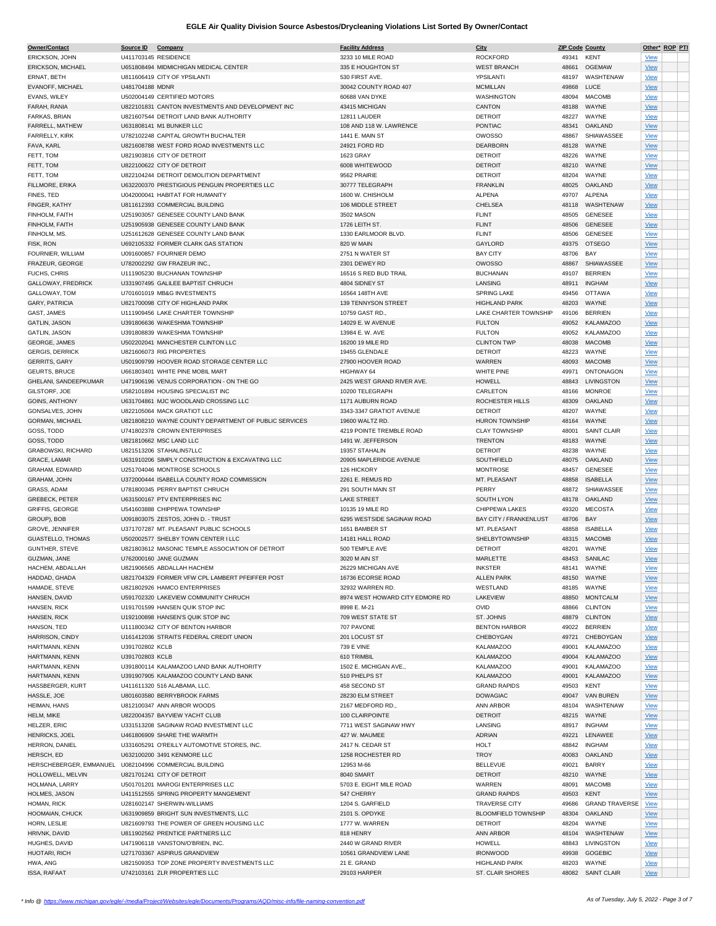| Owner/Contact            | Source ID Company |                                                       | <b>Facility Address</b>         | City                          | <b>ZIP Code County</b> |                       | Other* ROP PTI |  |
|--------------------------|-------------------|-------------------------------------------------------|---------------------------------|-------------------------------|------------------------|-----------------------|----------------|--|
| ERICKSON, JOHN           |                   | U411703145 RESIDENCE                                  | 3233 10 MILE ROAD               | <b>ROCKFORD</b>               | 49341                  | <b>KENT</b>           | <b>View</b>    |  |
| ERICKSON, MICHAEL        |                   | U651808494 MIDMICHIGAN MEDICAL CENTER                 | 335 E HOUGHTON ST               | <b>WEST BRANCH</b>            | 48661                  | <b>OGEMAW</b>         | View           |  |
|                          |                   |                                                       |                                 |                               |                        | WASHTENAW             |                |  |
| ERNAT, BETH              |                   | U811606419 CITY OF YPSILANTI                          | 530 FIRST AVE                   | YPSILANTI                     | 48197                  |                       | <b>View</b>    |  |
| EVANOFF, MICHAEL         | U481704188 MDNR   |                                                       | 30042 COUNTY ROAD 407           | <b>MCMILLAN</b>               | 49868                  | LUCE                  | <b>View</b>    |  |
| EVANS, WILEY             |                   | U502004149 CERTIFIED MOTORS                           | 60688 VAN DYKE                  | WASHINGTON                    | 48094                  | <b>MACOMB</b>         | View           |  |
| FARAH, RANIA             |                   | U822101831 CANTON INVESTMENTS AND DEVELOPMENT INC     | 43415 MICHIGAN                  | CANTON                        | 48188                  | WAYNE                 | <b>View</b>    |  |
| FARKAS, BRIAN            |                   | U821607544 DETROIT LAND BANK AUTHORITY                | 12811 LAUDER                    | <b>DETROIT</b>                | 48227                  | WAYNE                 | View           |  |
| FARRELL, MATHEW          |                   | U631808141 M1 BUNKER LLC                              | 108 AND 118 W. LAWRENCE         | <b>PONTIAC</b>                | 48341                  | <b>OAKLAND</b>        |                |  |
|                          |                   |                                                       |                                 |                               |                        |                       | <b>View</b>    |  |
| FARRELLY, KIRK           |                   | U782102248 CAPITAL GROWTH BUCHALTER                   | 1441 E. MAIN ST                 | <b>OWOSSO</b>                 | 48867                  | SHIAWASSEE            | <b>View</b>    |  |
| FAVA, KARL               |                   | U821608788 WEST FORD ROAD INVESTMENTS LLC             | 24921 FORD RD                   | DEARBORN                      | 48128                  | WAYNE                 | <b>View</b>    |  |
| FETT, TOM                |                   | U821903816 CITY OF DETROIT                            | 1623 GRAY                       | <b>DETROIT</b>                | 48226                  | WAYNE                 | <b>View</b>    |  |
| FETT, TOM                |                   | U822100622 CITY OF DETROIT                            | 6008 WHITEWOOD                  | <b>DETROIT</b>                | 48210                  | WAYNE                 | <b>View</b>    |  |
| FETT, TOM                |                   | U822104244 DETROIT DEMOLITION DEPARTMENT              | 9562 PRAIRIE                    | <b>DETROIT</b>                | 48204                  | WAYNE                 |                |  |
|                          |                   |                                                       |                                 |                               |                        |                       | <b>View</b>    |  |
| FILLMORE, ERIKA          |                   | U632200370 PRESTIGIOUS PENGUIN PROPERTIES LLC         | 30777 TELEGRAPH                 | <b>FRANKLIN</b>               | 48025                  | OAKLAND               | <b>View</b>    |  |
| FINES, TED               |                   | U042000041 HABITAT FOR HUMANITY                       | 1600 W. CHISHOLM                | <b>ALPENA</b>                 | 49707                  | <b>ALPENA</b>         | <b>View</b>    |  |
| FINGER, KATHY            |                   | U811612393 COMMERCIAL BUILDING                        | 106 MIDDLE STREET               | CHELSEA                       |                        | 48118 WASHTENAW       | <b>View</b>    |  |
| FINHOLM, FAITH           |                   | U251903057 GENESEE COUNTY LAND BANK                   | 3502 MASON                      | <b>FLINT</b>                  | 48505                  | <b>GENESEE</b>        | View           |  |
| FINHOLM, FAITH           |                   | U251905938 GENESEE COUNTY LAND BANK                   | 1726 LEITH ST.                  | <b>FLINT</b>                  | 48506                  | <b>GENESEE</b>        |                |  |
|                          |                   |                                                       |                                 |                               |                        |                       | <b>View</b>    |  |
| FINHOLM, MS.             |                   | U251612628 GENESEE COUNTY LAND BANK                   | 1330 EARLMOOR BLVD.             | <b>FLINT</b>                  | 48506                  | <b>GENESEE</b>        | <b>View</b>    |  |
| FISK, RON                |                   | U692105332 FORMER CLARK GAS STATION                   | 820 W MAIN                      | GAYLORD                       | 49375                  | <b>OTSEGO</b>         | <b>View</b>    |  |
| FOURNIER, WILLIAM        |                   | U091600857 FOURNIER DEMO                              | 2751 N WATER ST                 | <b>BAY CITY</b>               | 48706                  | BAY                   | <b>View</b>    |  |
| FRAZEUR, GEORGE          |                   | U782002292 GW FRAZEUR INC.                            | 2301 DEWEY RD                   | <b>OWOSSO</b>                 | 48867                  | SHIAWASSEE            | <b>View</b>    |  |
| FUCHS, CHRIS             |                   | U111905230 BUCHANAN TOWNSHIP                          | 16516 S RED BUD TRAIL           | <b>BUCHANAN</b>               | 49107                  | <b>BERRIEN</b>        |                |  |
|                          |                   |                                                       |                                 |                               |                        |                       | <b>View</b>    |  |
| GALLOWAY, FREDRICK       |                   | U331907495 GALILEE BAPTIST CHRUCH                     | 4804 SIDNEY ST                  | LANSING                       | 48911                  | <b>INGHAM</b>         | <b>View</b>    |  |
| GALLOWAY, TOM            |                   | U701601019 MB&G INVESTMENTS                           | 16564 148TH AVE                 | <b>SPRING LAKE</b>            | 49456                  | <b>OTTAWA</b>         | <b>View</b>    |  |
| GARY, PATRICIA           |                   | U821700098 CITY OF HIGHLAND PARK                      | 139 TENNYSON STREET             | <b>HIGHLAND PARK</b>          | 48203                  | WAYNE                 | <b>View</b>    |  |
| GAST, JAMES              |                   | U111909456 LAKE CHARTER TOWNSHIP                      | 10759 GAST RD.,                 | <b>LAKE CHARTER TOWNSHIP</b>  | 49106                  | <b>BERRIEN</b>        | <b>View</b>    |  |
|                          |                   |                                                       |                                 |                               |                        | <b>KALAMAZOO</b>      |                |  |
| <b>GATLIN, JASON</b>     |                   | U391806636 WAKESHMA TOWNSHIP                          | 14029 E. W AVENUE               | <b>FULTON</b>                 | 49052                  |                       | <b>View</b>    |  |
| GATLIN, JASON            |                   | U391808839 WAKESHMA TOWNSHIP                          | 13984 E. W. AVE                 | <b>FULTON</b>                 | 49052                  | <b>KALAMAZOO</b>      | <b>View</b>    |  |
| GEORGE, JAMES            |                   | U502202041 MANCHESTER CLINTON LLC                     | 16200 19 MILE RD                | <b>CLINTON TWP</b>            | 48038                  | <b>MACOMB</b>         | <b>View</b>    |  |
| <b>GERGIS, DERRICK</b>   |                   | U821606073 RIG PROPERTIES                             | 19455 GLENDALE                  | <b>DETROIT</b>                | 48223                  | WAYNE                 | <b>View</b>    |  |
| <b>GERRITS, GARY</b>     |                   | U501909799 HOOVER ROAD STORAGE CENTER LLC             | 27900 HOOVER ROAD               | WARREN                        | 48093                  | <b>MACOMB</b>         | <b>View</b>    |  |
| <b>GEURTS, BRUCE</b>     |                   |                                                       |                                 |                               |                        |                       |                |  |
|                          |                   | U661803401 WHITE PINE MOBIL MART                      | HIGHWAY 64                      | WHITE PINE                    | 49971                  | ONTONAGON             | <b>View</b>    |  |
| GHELANI, SANDEEPKUMAR    |                   | U471906196 VENUS CORPORATION - ON THE GO              | 2425 WEST GRAND RIVER AVE.      | <b>HOWELL</b>                 | 48843                  | <b>LIVINGSTON</b>     | <b>View</b>    |  |
| GILSTORF, JOE            |                   | U582101894 HOUSING SPECIALIST INC                     | 10200 TELEGRAPH                 | CARLETON                      | 48166                  | <b>MONROE</b>         | <b>View</b>    |  |
| <b>GOINS, ANTHONY</b>    |                   | U631704861 MJC WOODLAND CROSSING LLC                  | 1171 AUBURN ROAD                | ROCHESTER HILLS               | 48309                  | OAKLAND               | <b>View</b>    |  |
| GONSALVES, JOHN          |                   | U822105064 MACK GRATIOT LLC                           | 3343-3347 GRATIOT AVENUE        | <b>DETROIT</b>                | 48207                  | WAYNE                 | <b>View</b>    |  |
| <b>GORMAN, MICHAEL</b>   |                   | U821808210 WAYNE COUNTY DEPARTMENT OF PUBLIC SERVICES | 19600 WALTZ RD.                 | <b>HURON TOWNSHIP</b>         | 48164                  | WAYNE                 |                |  |
|                          |                   |                                                       |                                 |                               |                        |                       | <b>View</b>    |  |
| GOSS, TODD               |                   | U741802378 CROWN ENTERPRISES                          | 4219 POINTE TREMBLE ROAD        | <b>CLAY TOWNSHIP</b>          | 48001                  | <b>SAINT CLAIR</b>    | <b>View</b>    |  |
| GOSS, TODD               |                   | U821810662 MSC LAND LLC                               | 1491 W. JEFFERSON               | <b>TRENTON</b>                | 48183                  | WAYNE                 | <b>View</b>    |  |
| GRABOWSKI, RICHARD       |                   | U821513206 STAHALIN57LLC                              | 19357 STAHALIN                  | <b>DETROIT</b>                | 48238                  | WAYNE                 | <b>View</b>    |  |
| GRACE, LAMAR             |                   | U631910206 SIMPLY CONSTRUCTION & EXCAVATING LLC       | 20905 MAPLERIDGE AVENUE         | SOUTHFIELD                    | 48075                  | OAKLAND               | <b>View</b>    |  |
| GRAHAM, EDWARD           |                   | U251704046 MONTROSE SCHOOLS                           | 126 HICKORY                     | <b>MONTROSE</b>               | 48457                  | <b>GENESEE</b>        |                |  |
|                          |                   |                                                       |                                 |                               |                        |                       | <b>View</b>    |  |
| GRAHAM, JOHN             |                   | U372000444 ISABELLA COUNTY ROAD COMMISSION            | 2261 E. REMUS RD                | MT. PLEASANT                  | 48858                  | <b>ISABELLA</b>       | <b>View</b>    |  |
| GRASS, ADAM              |                   | U781800345 PERRY BAPTIST CHRUCH                       | 291 SOUTH MAIN ST               | PERRY                         | 48872                  | SHIAWASSEE            | <b>View</b>    |  |
| GREBECK, PETER           |                   | U631500167 PTV ENTERPRISES INC                        | <b>LAKE STREET</b>              | SOUTH LYON                    |                        | 48178 OAKLAND         | <b>View</b>    |  |
| <b>GRIFFIS, GEORGE</b>   |                   | U541603888 CHIPPEWA TOWNSHIP                          | 10135 19 MILE RD                | CHIPPEWA LAKES                | 49320                  | <b>MECOSTA</b>        | <b>View</b>    |  |
|                          |                   |                                                       | 6295 WESTSIDE SAGINAW ROAD      |                               |                        |                       |                |  |
| GROUP), BOB              |                   | U091803075 ZESTOS, JOHN D. - TRUST                    |                                 | <b>BAY CITY / FRANKENLUST</b> | 48706                  | BAY                   | <b>View</b>    |  |
| <b>GROVE, JENNIFER</b>   |                   | U371707287 MT. PLEASANT PUBLIC SCHOOLS                | 1651 BAMBER ST                  | MT. PLEASANT                  | 48858                  | <b>ISABELLA</b>       | <b>View</b>    |  |
| <b>GUASTELLO, THOMAS</b> |                   | U502002577 SHELBY TOWN CENTER I LLC                   | 14181 HALL ROAD                 | SHELBYTOWNSHIP                | 48315                  | <b>MACOMB</b>         | <b>View</b>    |  |
| GUNTHER, STEVE           |                   | U821803612 MASONIC TEMPLE ASSOCIATION OF DETROIT      | 500 TEMPLE AVE                  | <b>DETROIT</b>                | 48201                  | WAYNE                 | <b>View</b>    |  |
| <b>GUZMAN, JANE</b>      |                   | U762000160 JANE GUZMAN                                | 3020 M AIN ST                   | MARLETTE                      |                        | 48453 SANILAC         | <b>View</b>    |  |
| HACHEM, ABDALLAH         |                   | U821906565 ABDALLAH HACHEM                            | 26229 MICHIGAN AVE              |                               |                        |                       |                |  |
|                          |                   |                                                       |                                 | INKSTER                       | 48141                  | WAYNE                 | <b>VIEW</b>    |  |
| HADDAD, GHADA            |                   | U821704329 FORMER VFW CPL LAMBERT PFEIFFER POST       | 16736 ECORSE ROAD               | <b>ALLEN PARK</b>             |                        | 48150 WAYNE           | <b>View</b>    |  |
| HAMADE, STEVE            |                   | U821802926 HAMCO ENTERPRISES                          | 32932 WARREN RD.                | WESTLAND                      |                        | 48185 WAYNE           | <b>View</b>    |  |
| HANSEN, DAVID            |                   | U591702320 LAKEVIEW COMMUNITY CHRUCH                  | 8974 WEST HOWARD CITY EDMORE RD | LAKEVIEW                      | 48850                  | <b>MONTCALM</b>       | <b>View</b>    |  |
| HANSEN, RICK             |                   | U191701599 HANSEN QUIK STOP INC                       | 8998 E. M-21                    | OVID                          | 48866                  | <b>CLINTON</b>        | <b>View</b>    |  |
|                          |                   | U192100898 HANSEN'S QUIK STOP INC                     |                                 |                               |                        |                       |                |  |
| HANSEN, RICK             |                   |                                                       | 709 WEST STATE ST               | ST. JOHNS                     |                        | 48879 CLINTON         | <b>View</b>    |  |
| HANSON, TED              |                   | U111800342 CITY OF BENTON HARBOR                      | 707 PAVONE                      | <b>BENTON HARBOR</b>          | 49022                  | <b>BERRIEN</b>        | <b>View</b>    |  |
| HARRISON, CINDY          |                   | U161412036 STRAITS FEDERAL CREDIT UNION               | 201 LOCUST ST                   | CHEBOYGAN                     | 49721                  | CHEBOYGAN             | <b>View</b>    |  |
| HARTMANN, KENN           | U391702802 KCLB   |                                                       | 739 E VINE                      | <b>KALAMAZOO</b>              | 49001                  | <b>KALAMAZOO</b>      | <b>View</b>    |  |
| HARTMANN, KENN           | U391702803 KCLB   |                                                       | 610 TRIMBIL                     | <b>KALAMAZOO</b>              | 49004                  | <b>KALAMAZOO</b>      | <b>View</b>    |  |
| HARTMANN, KENN           |                   | U391800114 KALAMAZOO LAND BANK AUTHORITY              | 1502 E. MICHIGAN AVE.,          | <b>KALAMAZOO</b>              | 49001                  | <b>KALAMAZOO</b>      |                |  |
|                          |                   |                                                       |                                 |                               |                        |                       | <b>View</b>    |  |
| HARTMANN, KENN           |                   | U391907905 KALAMAZOO COUNTY LAND BANK                 | 510 PHELPS ST                   | <b>KALAMAZOO</b>              | 49001                  | <b>KALAMAZOO</b>      | <b>View</b>    |  |
| HASSBERGER, KURT         |                   | U411611320 516 ALABAMA, LLC.                          | 458 SECOND ST                   | <b>GRAND RAPIDS</b>           | 49503                  | KENT                  | <b>View</b>    |  |
| HASSLE, JOE              |                   | U801603580 BERRYBROOK FARMS                           | 28230 ELM STREET                | <b>DOWAGIAC</b>               | 49047                  | VAN BUREN             | <b>View</b>    |  |
| HEIMAN, HANS             |                   | U812100347 ANN ARBOR WOODS                            | 2167 MEDFORD RD.,               | ANN ARBOR                     | 48104                  | WASHTENAW             | <b>View</b>    |  |
| HELM, MIKE               |                   | U822004357 BAYVIEW YACHT CLUB                         | 100 CLAIRPOINTE                 | <b>DETROIT</b>                | 48215                  | WAYNE                 |                |  |
|                          |                   |                                                       |                                 |                               |                        |                       | <b>View</b>    |  |
| HELZER, ERIC             |                   | U331513208 SAGINAW ROAD INVESTMENT LLC                | 7711 WEST SAGINAW HWY           | LANSING                       | 48917                  | <b>INGHAM</b>         | <b>View</b>    |  |
| HENRICKS, JOEL           |                   | U461806909 SHARE THE WARMTH                           | 427 W. MAUMEE                   | ADRIAN                        | 49221                  | LENAWEE               | <b>View</b>    |  |
| HERRON, DANIEL           |                   | U331605291 O'REILLY AUTOMOTIVE STORES, INC.           | 2417 N. CEDAR ST                | <b>HOLT</b>                   | 48842                  | <b>INGHAM</b>         | View           |  |
| HERSCH, ED               |                   | U632100200 3491 KENMORE LLC                           | 1258 ROCHESTER RD               | <b>TROY</b>                   | 40083                  | OAKLAND               | <b>View</b>    |  |
| HERSCHEBERGER, EMMANUEL  |                   |                                                       |                                 |                               |                        |                       |                |  |
|                          |                   | U082104996 COMMERCIAL BUILDING                        | 12953 M-66                      | <b>BELLEVUE</b>               | 49021                  | <b>BARRY</b>          | <b>View</b>    |  |
| HOLLOWELL, MELVIN        |                   | U821701241 CITY OF DETROIT                            | 8040 SMART                      | <b>DETROIT</b>                | 48210                  | WAYNE                 | <b>View</b>    |  |
| HOLMANA, LARRY           |                   | U501701201 MAROGI ENTERPRISES LLC                     | 5703 E. EIGHT MILE ROAD         | WARREN                        | 48091                  | <b>MACOMB</b>         | <b>View</b>    |  |
| HOLMES, JASON            |                   | U411512555 SPRING PROPERTY MANGEMENT                  | 547 CHERRY                      | <b>GRAND RAPIDS</b>           | 49503                  | <b>KENT</b>           | <b>View</b>    |  |
| HOMAN, RICK              |                   | U281602147 SHERWIN-WILLIAMS                           | 1204 S. GARFIELD                | <b>TRAVERSE CITY</b>          | 49686                  | <b>GRAND TRAVERSE</b> | <b>View</b>    |  |
|                          |                   |                                                       | 2101 S. OPDYKE                  |                               | 48304                  | OAKLAND               |                |  |
| HOOMAIAN, CHUCK          |                   | U631909859 BRIGHT SUN INVESTMENTS, LLC                |                                 | <b>BLOOMFIELD TOWNSHIP</b>    |                        |                       | <b>View</b>    |  |
| HORN, LESLIE             |                   | U821609793 THE POWER OF GREEN HOUSING LLC             | 1777 W. WARREN                  | <b>DETROIT</b>                | 48204                  | WAYNE                 | <b>View</b>    |  |
| HRIVNK, DAVID            |                   | U811902562 PRENTICE PARTNERS LLC                      | 818 HENRY                       | ANN ARBOR                     | 48104                  | WASHTENAW             | <b>View</b>    |  |
| HUGHES, DAVID            |                   | U471906118 VANSTON/O'BRIEN, INC.                      | 2440 W GRAND RIVER              | <b>HOWELL</b>                 | 48843                  | LIVINGSTON            | <b>View</b>    |  |
| HUOTARI, RICH            |                   | U271703367 ASPIRUS GRANDVIEW                          | 10561 GRANDVIEW LANE            | <b>IRONWOOD</b>               | 49938                  | <b>GOGEBIC</b>        | <b>View</b>    |  |
| HWA, ANG                 |                   | U821509353 TOP ZONE PROPERTY INVESTMENTS LLC          | 21 E. GRAND                     | <b>HIGHLAND PARK</b>          | 48203                  | WAYNE                 |                |  |
|                          |                   |                                                       |                                 |                               |                        |                       | <b>View</b>    |  |
| ISSA, RAFAAT             |                   | U742103161 ZLR PROPERTIES LLC                         | 29103 HARPER                    | ST. CLAIR SHORES              |                        | 48082 SAINT CLAIR     | <b>View</b>    |  |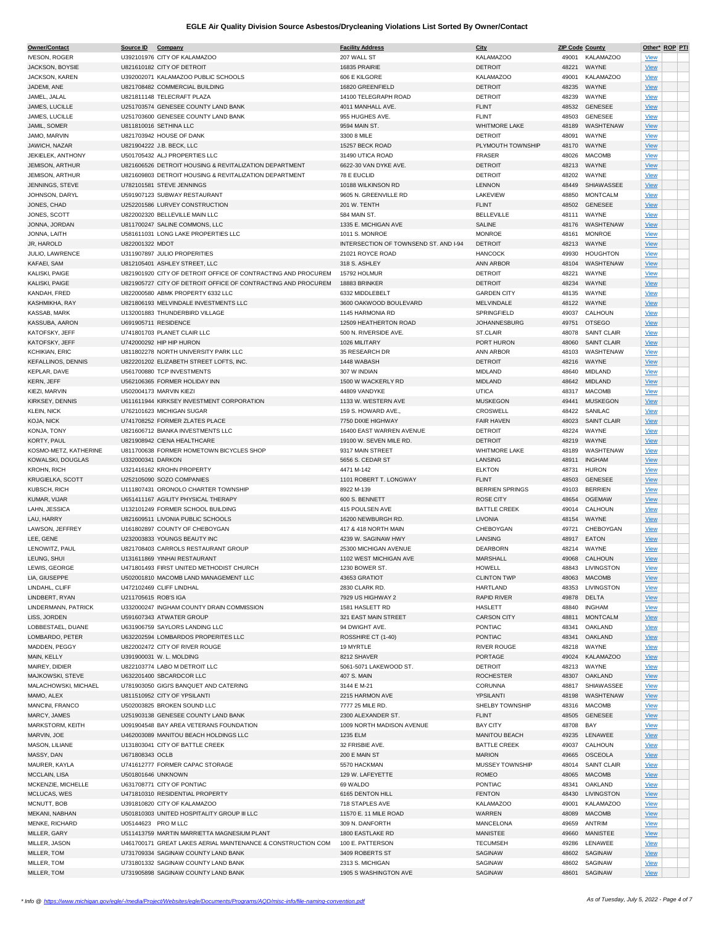| Owner/Contact             | Source ID Company    |                                                               | <b>Facility Address</b>               | City                   |       | <b>ZIP Code County</b> |             | Other* ROP PTI |
|---------------------------|----------------------|---------------------------------------------------------------|---------------------------------------|------------------------|-------|------------------------|-------------|----------------|
| <b>IVESON, ROGER</b>      |                      | U392101976 CITY OF KALAMAZOO                                  | 207 WALL ST                           | <b>KALAMAZOO</b>       |       | 49001 KALAMAZOO        | <b>View</b> |                |
| JACKSON, BOYSIE           |                      | U821610182 CITY OF DETROIT                                    | 16835 PRAIRIE                         | <b>DETROIT</b>         | 48221 | WAYNE                  | <b>View</b> |                |
| JACKSON, KAREN            |                      | U392002071 KALAMAZOO PUBLIC SCHOOLS                           | 606 E KILGORE                         | <b>KALAMAZOO</b>       | 49001 | <b>KALAMAZOO</b>       | <b>View</b> |                |
|                           |                      |                                                               |                                       |                        |       |                        |             |                |
| JADEMI, ANE               |                      | U821708482 COMMERCIAL BUILDING                                | 16820 GREENFIELD                      | <b>DETROIT</b>         | 48235 | WAYNE                  | <b>View</b> |                |
| JAMEL, JALAL              |                      | U821811148 TELECRAFT PLAZA                                    | 14100 TELEGRAPH ROAD                  | <b>DETROIT</b>         | 48239 | WAYNE                  | <b>View</b> |                |
| JAMES, LUCILLE            |                      | U251703574 GENESEE COUNTY LAND BANK                           | 4011 MANHALL AVE.                     | <b>FLINT</b>           | 48532 | <b>GENESEE</b>         | <b>View</b> |                |
| JAMES, LUCILLE            |                      | U251703600 GENESEE COUNTY LAND BANK                           | 955 HUGHES AVE.                       | <b>FLINT</b>           | 48503 | <b>GENESEE</b>         | <b>View</b> |                |
| JAMIL, SOMER              |                      | U811810016 SETHINA LLC                                        | 9594 MAIN ST.                         | <b>WHITMORE LAKE</b>   | 48189 | WASHTENAW              | <b>View</b> |                |
| JAMO, MARVIN              |                      | U821703942 HOUSE OF DANK                                      | 3300 8 MILE                           | <b>DETROIT</b>         | 48091 | WAYNE                  | <b>View</b> |                |
| JAWICH, NAZAR             |                      | U821904222 J.B. BECK, LLC                                     | 15257 BECK ROAD                       | PLYMOUTH TOWNSHIP      | 48170 | WAYNE                  | <b>View</b> |                |
|                           |                      |                                                               |                                       |                        |       |                        |             |                |
| <b>JEKIELEK, ANTHONY</b>  |                      | U501705432 ALJ PROPERTIES LLC                                 | 31490 UTICA ROAD                      | <b>FRASER</b>          | 48026 | <b>MACOMB</b>          | <b>View</b> |                |
| <b>JEMISON, ARTHUR</b>    |                      | U821606526 DETROIT HOUSING & REVITALIZATION DEPARTMENT        | 6622-30 VAN DYKE AVE.                 | <b>DETROIT</b>         | 48213 | WAYNE                  | <b>View</b> |                |
| <b>JEMISON, ARTHUR</b>    |                      | U821609803 DETROIT HOUSING & REVITALIZATION DEPARTMENT        | 78 E EUCLID                           | <b>DETROIT</b>         | 48202 | WAYNE                  | <b>View</b> |                |
| JENNINGS, STEVE           |                      | U782101581 STEVE JENNINGS                                     | 10188 WILKINSON RD                    | <b>LENNON</b>          | 48449 | SHIAWASSEE             | <b>View</b> |                |
| JOHNSON, DARYL            |                      | U591907123 SUBWAY RESTAURANT                                  | 9605 N. GREENVILLE RD                 | LAKEVIEW               | 48850 | <b>MONTCALM</b>        | <b>View</b> |                |
| JONES, CHAD               |                      | U252201586 LURVEY CONSTRUCTION                                | 201 W. TENTH                          | <b>FLINT</b>           | 48502 | <b>GENESEE</b>         | <b>View</b> |                |
| JONES, SCOTT              |                      | U822002320 BELLEVILLE MAIN LLC                                | 584 MAIN ST.                          | <b>BELLEVILLE</b>      | 48111 | WAYNE                  | <b>View</b> |                |
|                           |                      | U811700247 SALINE COMMONS, LLC                                |                                       |                        |       | WASHTENAW              |             |                |
| JONNA, JORDAN             |                      |                                                               | 1335 E. MICHIGAN AVE                  | SALINE                 | 48176 |                        | <b>View</b> |                |
| JONNA, LAITH              |                      | U581611031 LONG LAKE PROPERTIES LLC                           | 1011 S. MONROE                        | <b>MONROE</b>          | 48161 | <b>MONROE</b>          | <b>View</b> |                |
| <b>JR, HAROLD</b>         | U822001322 MDOT      |                                                               | INTERSECTION OF TOWNSEND ST. AND I-94 | <b>DETROIT</b>         | 48213 | WAYNE                  | <b>View</b> |                |
| JULIO, LAWRENCE           |                      | U311907897 JULIO PROPERITIES                                  | 21021 ROYCE ROAD                      | <b>HANCOCK</b>         | 49930 | <b>HOUGHTON</b>        | <b>View</b> |                |
| KAFAEI, SAM               |                      | U812105401 ASHLEY STREET, LLC                                 | 318 S. ASHLEY                         | <b>ANN ARBOR</b>       | 48104 | WASHTENAW              | <b>View</b> |                |
| KALISKI, PAIGE            |                      | U821901920 CITY OF DETROIT OFFICE OF CONTRACTING AND PROCUREM | 15792 HOLMUR                          | <b>DETROIT</b>         | 48221 | WAYNE                  | <b>View</b> |                |
| KALISKI, PAIGE            |                      | U821905727 CITY OF DETROIT OFFICE OF CONTRACTING AND PROCUREM | 18883 BRINKER                         | <b>DETROIT</b>         | 48234 | WAYNE                  | <b>View</b> |                |
|                           |                      |                                                               |                                       |                        |       |                        |             |                |
| KANDAH, FRED              |                      | U822000580 ABMK PROPERTY 6332 LLC                             | 6332 MIDDLEBELT                       | <b>GARDEN CITY</b>     | 48135 | WAYNE                  | <b>View</b> |                |
| KASHMIKHA, RAY            |                      | U821806193 MELVINDALE INVESTMENTS LLC                         | 3600 OAKWOOD BOULEVARD                | MELVINDALE             |       | 48122 WAYNE            | <b>View</b> |                |
| KASSAB, MARK              |                      | U132001883 THUNDERBIRD VILLAGE                                | 1145 HARMONIA RD                      | SPRINGFIELD            | 49037 | CALHOUN                | <b>View</b> |                |
| KASSUBA, AARON            |                      | U691905711 RESIDENCE                                          | 12509 HEATHERTON ROAD                 | <b>JOHANNESBURG</b>    | 49751 | <b>OTSEGO</b>          | <b>View</b> |                |
| KATOFSKY, JEFF            |                      | U741801703 PLANET CLAIR LLC                                   | 500 N. RIVERSIDE AVE.                 | ST.CLAIR               | 48078 | <b>SAINT CLAIR</b>     | <b>View</b> |                |
| KATOFSKY, JEFF            |                      | U742000292 HIP HIP HURON                                      | 1026 MILITARY                         | PORT HURON             | 48060 | <b>SAINT CLAIR</b>     | <b>View</b> |                |
| KCHIKIAN, ERIC            |                      | U811802278 NORTH UNIVERSITY PARK LLC                          | 35 RESEARCH DR                        | <b>ANN ARBOR</b>       | 48103 | WASHTENAW              |             |                |
|                           |                      |                                                               |                                       |                        |       |                        | <b>View</b> |                |
| <b>KEFALLINOS, DENNIS</b> |                      | U822201202 ELIZABETH STREET LOFTS, INC.                       | 1448 WABASH                           | <b>DETROIT</b>         | 48216 | WAYNE                  | <b>View</b> |                |
| KEPLAR, DAVE              |                      | U561700880 TCP INVESTMENTS                                    | 307 W INDIAN                          | <b>MIDLAND</b>         | 48640 | <b>MIDLAND</b>         | <b>View</b> |                |
| KERN, JEFF                |                      | U562106365 FORMER HOLIDAY INN                                 | 1500 W WACKERLY RD                    | <b>MIDLAND</b>         | 48642 | <b>MIDLAND</b>         | <b>View</b> |                |
| KIEZI, MARVIN             |                      | U502004173 MARVIN KIEZI                                       | 44809 VANDYKE                         | <b>UTICA</b>           | 48317 | <b>MACOMB</b>          | <b>View</b> |                |
| KIRKSEY, DENNIS           |                      | U611611944 KIRKSEY INVESTMENT CORPORATION                     | 1133 W. WESTERN AVE                   | <b>MUSKEGON</b>        | 49441 | <b>MUSKEGON</b>        | <b>View</b> |                |
| <b>KLEIN, NICK</b>        |                      | U762101623 MICHIGAN SUGAR                                     | 159 S. HOWARD AVE.,                   | CROSWELL               | 48422 | SANILAC                |             |                |
|                           |                      |                                                               |                                       |                        |       |                        | <b>View</b> |                |
| KOJA, NICK                |                      | U741708252 FORMER ZLATES PLACE                                | 7750 DIXIE HIGHWAY                    | <b>FAIR HAVEN</b>      | 48023 | <b>SAINT CLAIR</b>     | <b>View</b> |                |
| KONJA, TONY               |                      | U821606712 BIANKA INVESTMENTS LLC                             | 16400 EAST WARREN AVENUE              | <b>DETROIT</b>         | 48224 | WAYNE                  | <b>View</b> |                |
| KORTY, PAUL               |                      | U821908942 CIENA HEALTHCARE                                   | 19100 W. SEVEN MILE RD                | <b>DETROIT</b>         | 48219 | WAYNE                  | <b>View</b> |                |
| KOSMO-METZ, KATHERINE     |                      | U811700638 FORMER HOMETOWN BICYCLES SHOP                      | 9317 MAIN STREET                      | <b>WHITMORE LAKE</b>   | 48189 | WASHTENAW              | <b>View</b> |                |
| KOWALSKI, DOUGLAS         | U332000341 DARKON    |                                                               | 5656 S. CEDAR ST                      | LANSING                | 48911 | <b>INGHAM</b>          | <b>View</b> |                |
| <b>KROHN, RICH</b>        |                      | U321416162 KROHN PROPERTY                                     | 4471 M-142                            | <b>ELKTON</b>          | 48731 | <b>HURON</b>           | <b>View</b> |                |
| KRUGIELKA, SCOTT          |                      | U252105090 SOZO COMPANIES                                     | 1101 ROBERT T. LONGWAY                | <b>FLINT</b>           | 48503 | <b>GENESEE</b>         | <b>View</b> |                |
|                           |                      |                                                               |                                       |                        |       |                        |             |                |
| KUBSCH, RICH              |                      | U111807431 ORONOLO CHARTER TOWNSHIP                           | 8922 M-139                            | <b>BERRIEN SPRINGS</b> | 49103 | <b>BERRIEN</b>         | <b>View</b> |                |
| KUMAR, VIJAR              |                      | U651411167 AGILITY PHYSICAL THERAPY                           | 600 S. BENNETT                        | <b>ROSE CITY</b>       | 48654 | <b>OGEMAW</b>          | <b>View</b> |                |
| LAHN, JESSICA             |                      | U132101249 FORMER SCHOOL BUILDING                             | 415 POULSEN AVE                       | <b>BATTLE CREEK</b>    | 49014 | CALHOUN                | <b>View</b> |                |
| LAU, HARRY                |                      | U821609511 LIVONIA PUBLIC SCHOOLS                             | 16200 NEWBURGH RD.                    | <b>LIVONIA</b>         | 48154 | WAYNE                  | <b>View</b> |                |
| LAWSON, JEFFREY           |                      | U161802897 COUNTY OF CHEBOYGAN                                | 417 & 418 NORTH MAIN                  | CHEBOYGAN              | 49721 | CHEBOYGAN              | <b>View</b> |                |
| LEE, GENE                 |                      | U232003833 YOUNGS BEAUTY INC                                  | 4239 W. SAGINAW HWY                   | LANSING                | 48917 | <b>EATON</b>           | <b>View</b> |                |
|                           |                      |                                                               |                                       | DEARBORN               |       | 48214 WAYNE            |             |                |
| LENOWITZ, PAUL            |                      | U821708403 CARROLS RESTAURANT GROUP                           | 25300 MICHIGAN AVENUE                 |                        |       |                        | <b>View</b> |                |
| LEUNG, SHUI               |                      | U131611869 YINHAI RESTAURANT                                  | 1102 WEST MICHIGAN AVE                | <b>MARSHALL</b>        |       | 49068 CALHOUN          | <b>View</b> |                |
| LEWIS, GEORGE             |                      | U471801493 FIRST UNITED METHODIST CHURCH                      | 1230 BOWER ST                         | <b>HOWELL</b>          | 48843 | LIVINGSTON             | <u>View</u> |                |
| LIA, GIUSEPPE             |                      | U502001810 MACOMB LAND MANAGEMENT LLC                         | 43653 GRATIOT                         | <b>CLINTON TWP</b>     | 48063 | <b>MACOMB</b>          | View        |                |
| LINDAHL, CLIFF            |                      | U472102469 CLIFF LINDHAL                                      | 2830 CLARK RD.                        | <b>HARTLAND</b>        | 48353 | LIVINGSTON             | <b>View</b> |                |
| LINDBERT, RYAN            | U211705615 ROB'S IGA |                                                               | 7929 US HIGHWAY 2                     | <b>RAPID RIVER</b>     | 49878 | DELTA                  | <b>View</b> |                |
| LINDERMANN, PATRICK       |                      | U332000247 INGHAM COUNTY DRAIN COMMISSION                     | 1581 HASLETT RD                       | <b>HASLETT</b>         | 48840 | <b>INGHAM</b>          | <b>View</b> |                |
|                           |                      |                                                               |                                       |                        |       |                        |             |                |
| LISS, JORDEN              |                      | U591607343 ATWATER GROUP                                      | 321 EAST MAIN STREET                  | <b>CARSON CITY</b>     | 48811 | <b>MONTCALM</b>        | <b>View</b> |                |
| LOBBESTAEL, DUANE         |                      | U631906759 SAYLORS LANDING LLC                                | 94 DWIGHT AVE.                        | <b>PONTIAC</b>         | 48341 | OAKLAND                | <b>View</b> |                |
| LOMBARDO, PETER           |                      | U632202594 LOMBARDOS PROPERITES LLC                           | ROSSHIRE CT (1-40)                    | <b>PONTIAC</b>         | 48341 | OAKLAND                | <b>View</b> |                |
| MADDEN, PEGGY             |                      | U822002472 CITY OF RIVER ROUGE                                | 19 MYRTLE                             | <b>RIVER ROUGE</b>     | 48218 | WAYNE                  | <b>View</b> |                |
| MAIN, KELLY               |                      | U391900031 W. L. MOLDING                                      | 8212 SHAVER                           | PORTAGE                | 49024 | <b>KALAMAZOO</b>       | <b>View</b> |                |
| MAIREY, DIDIER            |                      | U822103774 LABO M DETROIT LLC                                 | 5061-5071 LAKEWOOD ST.                | <b>DETROIT</b>         | 48213 | WAYNE                  | <b>View</b> |                |
| MAJKOWSKI, STEVE          |                      | U632201400 SBCARDCOR LLC                                      | 407 S. MAIN                           | <b>ROCHESTER</b>       | 48307 | OAKLAND                | <b>View</b> |                |
| MALACHOWSKI, MICHAEL      |                      | U781903050 GIGI'S BANQUET AND CATERING                        |                                       | CORUNNA                | 48817 | SHIAWASSEE             |             |                |
|                           |                      |                                                               | 3144 E M-21                           |                        |       |                        | <b>View</b> |                |
| MAMO, ALEX                |                      | U811510952 CITY OF YPSILANTI                                  | 2215 HARMON AVE                       | YPSILANTI              | 48198 | WASHTENAW              | <b>View</b> |                |
| MANCINI, FRANCO           |                      | U502003825 BROKEN SOUND LLC                                   | 7777 25 MILE RD.                      | SHELBY TOWNSHIP        | 48316 | <b>MACOMB</b>          | <b>View</b> |                |
| MARCY, JAMES              |                      | U251903138 GENESEE COUNTY LAND BANK                           | 2300 ALEXANDER ST.                    | <b>FLINT</b>           | 48505 | <b>GENESEE</b>         | <b>View</b> |                |
| MARKSTORM, KEITH          |                      | U091904548 BAY AREA VETERANS FOUNDATION                       | 1009 NORTH MADISON AVENUE             | <b>BAY CITY</b>        | 48708 | BAY                    | <b>View</b> |                |
| MARVIN, JOE               |                      | U462003089 MANITOU BEACH HOLDINGS LLC                         | 1235 ELM                              | MANITOU BEACH          | 49235 | LENAWEE                | <b>View</b> |                |
| MASON, LILIANE            |                      | U131803041 CITY OF BATTLE CREEK                               | 32 FRISBIE AVE.                       | <b>BATTLE CREEK</b>    | 49037 | CALHOUN                | <u>View</u> |                |
| MASSY, DAN                | U671808343 OCLB      |                                                               | 200 E MAIN ST                         | <b>MARION</b>          | 49665 | OSCEOLA                |             |                |
|                           |                      |                                                               |                                       |                        |       |                        | <b>View</b> |                |
| MAURER, KAYLA             |                      | U741612777 FORMER CAPAC STORAGE                               | 5570 HACKMAN                          | MUSSEY TOWNSHIP        | 48014 | SAINT CLAIR            | <b>View</b> |                |
| MCCLAIN, LISA             | U501801646 UNKNOWN   |                                                               | 129 W. LAFEYETTE                      | <b>ROMEO</b>           | 48065 | <b>MACOMB</b>          | <b>View</b> |                |
| MCKENZIE, MICHELLE        |                      | U631708771 CITY OF PONTIAC                                    | 69 WALDO                              | PONTIAC                | 48341 | OAKLAND                | <b>View</b> |                |
| MCLUCAS, WES              |                      | U471810310 RESIDENTIAL PROPERTY                               | 6165 DENTON HILL                      | <b>FENTON</b>          | 48430 | LIVINGSTON             | <b>View</b> |                |
| MCNUTT, BOB               |                      | U391810820 CITY OF KALAMAZOO                                  | 718 STAPLES AVE                       | <b>KALAMAZOO</b>       | 49001 | <b>KALAMAZOO</b>       | <b>View</b> |                |
| MEKANI, NABHAN            |                      | U501810303 UNITED HOSPITALITY GROUP III LLC                   | 11570 E. 11 MILE ROAD                 | WARREN                 | 48089 | <b>MACOMB</b>          | <b>View</b> |                |
|                           |                      |                                                               |                                       |                        |       |                        |             |                |
| MENKE, RICHARD            |                      | U05144623 PRO M LLC                                           | 309 N. DANFORTH                       | MANCELONA              | 49659 | ANTRIM                 | <b>View</b> |                |
| MILLER, GARY              |                      | U511413759 MARTIN MARRIETTA MAGNESIUM PLANT                   | 1800 EASTLAKE RD                      | <b>MANISTEE</b>        | 49660 | <b>MANISTEE</b>        | <b>View</b> |                |
| MILLER, JASON             |                      | U461700171 GREAT LAKES AERIAL MAINTENANCE & CONSTRUCTION COM  | 100 E. PATTERSON                      | <b>TECUMSEH</b>        | 49286 | LENAWEE                | <u>View</u> |                |
| MILLER, TOM               |                      | U731709334 SAGINAW COUNTY LAND BANK                           | 3409 ROBERTS ST                       | SAGINAW                | 48602 | SAGINAW                | <b>View</b> |                |
| MILLER, TOM               |                      | U731801332 SAGINAW COUNTY LAND BANK                           | 2313 S. MICHIGAN                      | SAGINAW                | 48602 | SAGINAW                | <b>View</b> |                |
| MILLER, TOM               |                      | U731905898 SAGINAW COUNTY LAND BANK                           | 1905 S WASHINGTON AVE                 | SAGINAW                | 48601 | SAGINAW                | <b>View</b> |                |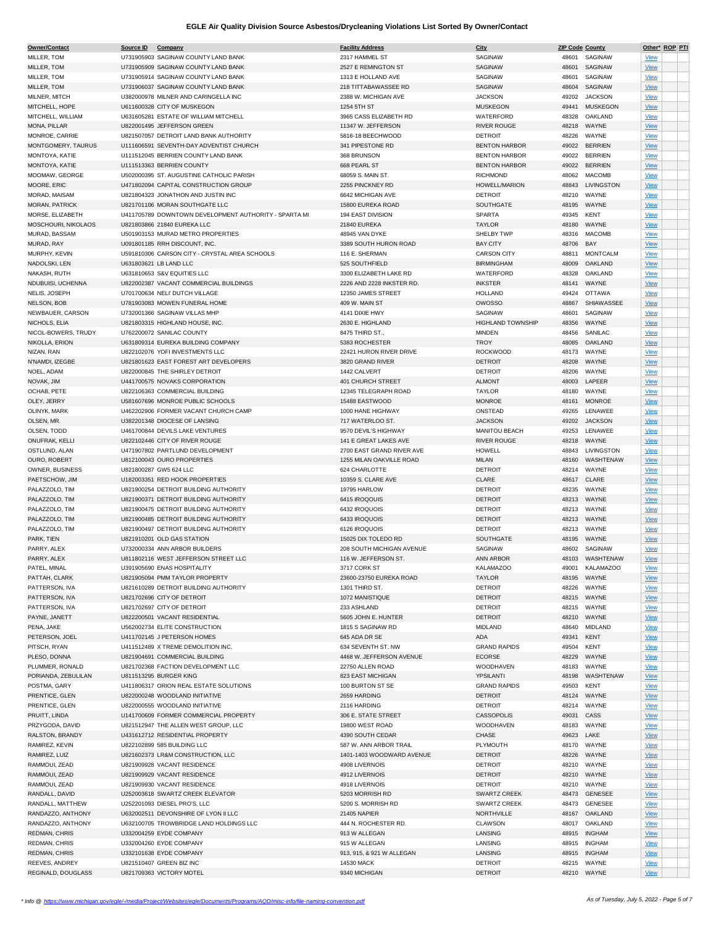| Owner/Contact         | Source ID | Company                                               | <b>Facility Address</b>   | City                     |            | <b>ZIP Code County</b> |             | Other* ROP PTI |
|-----------------------|-----------|-------------------------------------------------------|---------------------------|--------------------------|------------|------------------------|-------------|----------------|
| MILLER, TOM           |           | U731905903 SAGINAW COUNTY LAND BANK                   | 2317 HAMMEL ST            | SAGINAW                  |            | 48601 SAGINAW          | <b>View</b> |                |
|                       |           |                                                       |                           |                          |            |                        |             |                |
| MILLER, TOM           |           | U731905909 SAGINAW COUNTY LAND BANK                   | 2527 E REMINGTON ST       | <b>SAGINAW</b>           | 48601      | SAGINAW                | View        |                |
| MILLER, TOM           |           | U731905914 SAGINAW COUNTY LAND BANK                   | 1313 E HOLLAND AVE        | SAGINAW                  | 48601      | SAGINAW                | <b>View</b> |                |
| MILLER, TOM           |           | U731906037 SAGINAW COUNTY LAND BANK                   | 218 TITTABAWASSEE RD      | SAGINAW                  | 48604      | SAGINAW                | <b>View</b> |                |
|                       |           | U382000978 MILNER AND CARINGELLA INC                  | 2388 W. MICHIGAN AVE      | <b>JACKSON</b>           | 49202      | <b>JACKSON</b>         |             |                |
| MILNER, MITCH         |           |                                                       |                           |                          |            |                        | <b>View</b> |                |
| MITCHELL, HOPE        |           | U611600328 CITY OF MUSKEGON                           | 1254 5TH ST               | <b>MUSKEGON</b>          | 49441      | <b>MUSKEGON</b>        | <b>View</b> |                |
| MITCHELL, WILLIAM     |           | U631605281 ESTATE OF WILLIAM MITCHELL                 | 3965 CASS ELIZABETH RD    | WATERFORD                | 48328      | OAKLAND                | <b>View</b> |                |
| MONA, PILLAR          |           | U822001495 JEFFERSON GREEN                            | 11347 W. JEFFERSON        | <b>RIVER ROUGE</b>       | 48218      | WAYNE                  | <b>View</b> |                |
|                       |           |                                                       |                           |                          |            |                        |             |                |
| MONROE, CARRIE        |           | U821507057 DETROIT LAND BANK AUTHORITY                | 5816-18 BEECHWOOD         | <b>DETROIT</b>           | 48226      | WAYNE                  | <b>View</b> |                |
| MONTGOMERY, TAURUS    |           | U111606591 SEVENTH-DAY ADVENTIST CHURCH               | 341 PIPESTONE RD          | <b>BENTON HARBOR</b>     |            | 49022 BERRIEN          | <b>View</b> |                |
| MONTOYA, KATIE        |           | U111512045 BERRIEN COUNTY LAND BANK                   | 368 BRUNSON               | <b>BENTON HARBOR</b>     | 49022      | <b>BERRIEN</b>         | <b>View</b> |                |
|                       |           |                                                       |                           |                          |            |                        |             |                |
| MONTOYA, KATIE        |           | U111513363 BERRIEN COUNTY                             | 668 PEARL ST              | <b>BENTON HARBOR</b>     |            | 49022 BERRIEN          | View        |                |
| MOOMAW, GEORGE        |           | U502000395 ST. AUGUSTINE CATHOLIC PARISH              | 68059 S. MAIN ST.         | <b>RICHMOND</b>          | 48062      | <b>MACOMB</b>          | <b>View</b> |                |
| MOORE, ERIC           |           | U471802094 CAPITAL CONSTRUCTION GROUP                 | 2255 PINCKNEY RD          | <b>HOWELL/MARION</b>     | 48843      | LIVINGSTON             | <b>View</b> |                |
|                       |           | U821804323 JONATHON AND JUSTIN INC                    | 6642 MICHIGAN AVE         | <b>DETROIT</b>           | 48210      | WAYNE                  |             |                |
| MORAD, MAISAM         |           |                                                       |                           |                          |            |                        | <b>View</b> |                |
| <b>MORAN, PATRICK</b> |           | U821701106 MORAN SOUTHGATE LLC                        | 15800 EUREKA ROAD         | SOUTHGATE                |            | 48195 WAYNE            | <b>View</b> |                |
| MORSE, ELIZABETH      |           | U411705789 DOWNTOWN DEVELOPMENT AUTHORITY - SPARTA MI | 194 EAST DIVISION         | <b>SPARTA</b>            | 49345      | KENT                   | <b>View</b> |                |
| MOSCHOURI, NIKOLAOS   |           | U821803866 21840 EUREKA LLC                           | 21840 EUREKA              | <b>TAYLOR</b>            | 48180      | WAYNE                  |             |                |
|                       |           |                                                       |                           |                          |            |                        | <b>View</b> |                |
| MURAD, BASSAM         |           | U501903153 MURAD METRO PROPERTIES                     | 48945 VAN DYKE            | SHELBY TWP               | 48316      | <b>MACOMB</b>          | <b>View</b> |                |
| MURAD, RAY            |           | U091801185 RRH DISCOUNT, INC.                         | 3389 SOUTH HURON ROAD     | <b>BAY CITY</b>          | 48706      | BAY                    | <b>View</b> |                |
| MURPHY, KEVIN         |           | U591810306 CARSON CITY - CRYSTAL AREA SCHOOLS         | 116 E. SHERMAN            | <b>CARSON CITY</b>       | 48811      | <b>MONTCALM</b>        | <b>View</b> |                |
|                       |           |                                                       |                           |                          |            |                        |             |                |
| NADOLSKI, LEN         |           | U631803621 LB LAND LLC                                | 525 SOUTHFIELD            | <b>BIRMINGHAM</b>        | 48009      | OAKLAND                | <b>View</b> |                |
| NAKASH, RUTH          |           | U631810653 S&V EQUITIES LLC                           | 3300 ELIZABETH LAKE RD    | WATERFORD                | 48328      | OAKLAND                | <b>View</b> |                |
| NDUBUISI, UCHENNA     |           | U822002387 VACANT COMMERCIAL BUILDINGS                | 2226 AND 2228 INKSTER RD. | <b>INKSTER</b>           | 48141      | WAYNE                  | <b>View</b> |                |
|                       |           |                                                       |                           |                          |            |                        |             |                |
| NELIS, JOSEPH         |           | U701700634 NELL' DUTCH VILLAGE                        | 12350 JAMES STREET        | <b>HOLLAND</b>           | 49424      | <b>OTTAWA</b>          | <b>View</b> |                |
| NELSON, BOB           |           | U781903083 MOWEN FUNERAL HOME                         | 409 W. MAIN ST            | <b>OWOSSO</b>            | 48867      | SHIAWASSEE             | <b>View</b> |                |
| NEWBAUER, CARSON      |           | U732001366 SAGINAW VILLAS MHP                         | 4141 DIXIE HWY            | SAGINAW                  | 48601      | SAGINAW                | <b>View</b> |                |
|                       |           |                                                       |                           |                          |            |                        |             |                |
| NICHOLS, ELIA         |           | U821803315 HIGHLAND HOUSE, INC.                       | 2630 E. HIGHLAND          | <b>HIGHLAND TOWNSHIP</b> | 48356      | WAYNE                  | <b>View</b> |                |
| NICOL-BOWERS, TRUDY   |           | U762200072 SANILAC COUNTY                             | 8475 THIRD ST.,           | <b>MINDEN</b>            | 48456      | SANILAC                | <b>View</b> |                |
| NIKOLLA, ERION        |           | U631809314 EUREKA BUILDING COMPANY                    | 5383 ROCHESTER            | <b>TROY</b>              | 48085      | OAKLAND                | <b>View</b> |                |
|                       |           |                                                       |                           |                          |            |                        |             |                |
| NIZAN, RAN            |           | U822102076 YOFI INVESTMENTS LLC                       | 22421 HURON RIVER DRIVE   | <b>ROCKWOOD</b>          | 48173      | WAYNE                  | <b>View</b> |                |
| N'NAMDI, IZEGBE       |           | U821801623 EAST FOREST ART DEVELOPERS                 | 3820 GRAND RIVER          | <b>DETROIT</b>           | 48208      | WAYNE                  | <b>View</b> |                |
| NOEL, ADAM            |           | U822000845 THE SHIRLEY DETROIT                        | 1442 CALVERT              | <b>DETROIT</b>           | 48206      | WAYNE                  | <b>View</b> |                |
|                       |           |                                                       |                           |                          |            |                        |             |                |
| NOVAK, JIM            |           | U441700575 NOVAKS CORPORATION                         | 401 CHURCH STREET         | <b>ALMONT</b>            | 48003      | LAPEER                 | <b>View</b> |                |
| OCHAB, PETE           |           | U822106363 COMMERCIAL BUILDING                        | 12345 TELEGRAPH ROAD      | <b>TAYLOR</b>            | 48180      | WAYNE                  | <b>View</b> |                |
| OLEY, JERRY           |           | U581607696 MONROE PUBLIC SCHOOLS                      | 15488 EASTWOOD            | <b>MONROE</b>            | 48161      | <b>MONROE</b>          | <b>View</b> |                |
|                       |           |                                                       |                           |                          |            |                        |             |                |
| OLINYK, MARK          |           | U462202906 FORMER VACANT CHURCH CAMP                  | 1000 HANE HIGHWAY         | ONSTEAD                  | 49265      | LENAWEE                | <b>View</b> |                |
| OLSEN, MR.            |           | U382201348 DIOCESE OF LANSING                         | 717 WATERLOO ST.          | <b>JACKSON</b>           | 49202      | <b>JACKSON</b>         | <b>View</b> |                |
| OLSEN, TODD           |           | U461700844 DEVILS LAKE VENTURES                       | 9570 DEVIL'S HIGHWAY      | MANITOU BEACH            | 49253      | LENAWEE                | <b>View</b> |                |
|                       |           |                                                       |                           |                          |            |                        |             |                |
| ONUFRAK, KELLI        |           | U822102446 CITY OF RIVER ROUGE                        | 141 E GREAT LAKES AVE     | <b>RIVER ROUGE</b>       |            | 48218 WAYNE            | <b>View</b> |                |
| OSTLUND, ALAN         |           | U471907802 PARTLUND DEVELOPMENT                       | 2700 EAST GRAND RIVER AVE | HOWELL                   | 48843      | LIVINGSTON             | <b>View</b> |                |
| OURO, ROBERT          |           | U812100043 OURO PROPERTIES                            | 1255 MILAN OAKVILLE ROAD  | <b>MILAN</b>             | 48160      | WASHTENAW              | <b>View</b> |                |
|                       |           |                                                       |                           |                          |            |                        |             |                |
| OWNER, BUSINESS       |           | U821800287 GW5 624 LLC                                | 624 CHARLOTTE             | <b>DETROIT</b>           | 48214      | WAYNE                  | <b>View</b> |                |
| PAETSCHOW, JIM        |           | U182003351 RED HOOK PROPERTIES                        | 10359 S. CLARE AVE        | CLARE                    | 48617      | CLARE                  | View        |                |
| PALAZZOLO, TIM        |           | U821900254 DETROIT BUILDING AUTHORITY                 | 19795 HARLOW              | <b>DETROIT</b>           | 48235      | WAYNE                  | <b>View</b> |                |
|                       |           |                                                       |                           |                          |            |                        |             |                |
| PALAZZOLO, TIM        |           | U821900371 DETROIT BUILDING AUTHORITY                 | 6415 IROQOUIS             | <b>DETROIT</b>           |            | 48213 WAYNE            | <b>View</b> |                |
| PALAZZOLO, TIM        |           | U821900475 DETROIT BUILDING AUTHORITY                 | 6432 IROQUOIS             | <b>DETROIT</b>           |            | 48213 WAYNE            | <b>View</b> |                |
| PALAZZOLO, TIM        |           | U821900485 DETROIT BUILDING AUTHORITY                 | 6433 IROQUOIS             | <b>DETROIT</b>           |            | 48213 WAYNE            | <b>View</b> |                |
|                       |           |                                                       |                           |                          |            |                        |             |                |
| PALAZZOLO, TIM        |           | U821900497 DETROIT BUILDING AUTHORITY                 | 6126 IROQUOIS             | <b>DETROIT</b>           |            | 48213 WAYNE            | <b>View</b> |                |
| PARK, TIEN            |           | U821910201 OLD GAS STATION                            | 15025 DIX TOLEDO RD       | SOUTHGATE                |            | 48195 WAYNE            | <b>View</b> |                |
| PARRY, ALEX           |           | U732000334 ANN ARBOR BUILDERS                         | 208 SOUTH MICHIGAN AVENUE | SAGINAW                  |            | 48602 SAGINAW          | <b>View</b> |                |
|                       |           |                                                       |                           |                          |            |                        |             |                |
| PARRY, ALEX           |           | U811802116 WEST JEFFERSON STREET LLC                  | 116 W. JEFFERSON ST.      | <b>ANN ARBOR</b>         |            | 48103 WASHTENAW        | <b>View</b> |                |
| PATEL, MINAL          |           | U391905690 ENAS HOSPITALITY                           | 3717 CORK ST              | KALAMAZOO                | 49001      | <b>KALAMAZOO</b>       | <u>View</u> |                |
| PATTAH, CLARK         |           | U821905094 PMM TAYLOR PROPERTY                        | 23600-23750 EUREKA ROAD   | <b>TAYLOR</b>            |            | 48195 WAYNE            | <b>View</b> |                |
|                       |           |                                                       |                           |                          |            |                        |             |                |
| PATTERSON, IVA        |           | U821610289 DETROIT BUILDING AUTHORITY                 | 1301 THIRD ST.            | <b>DETROIT</b>           | 48226      | WAYNE                  | <b>View</b> |                |
| PATTERSON, IVA        |           | U821702696 CITY OF DETROIT                            | 1072 MANISTIQUE           | <b>DETROIT</b>           |            | 48215 WAYNE            | <b>View</b> |                |
| PATTERSON, IVA        |           | U821702697 CITY OF DETROIT                            | 233 ASHLAND               | <b>DETROIT</b>           |            | 48215 WAYNE            | <b>View</b> |                |
| PAYNE, JANETT         |           | U822200501 VACANT RESIDENTIAL                         |                           | <b>DETROIT</b>           |            | 48210 WAYNE            |             |                |
|                       |           |                                                       | 5605 JOHN E. HUNTER       |                          |            |                        | <b>View</b> |                |
| PENA, JAKE            |           | U562002734 ELITE CONSTRUCTION                         | 1815 S SAGINAW RD         | <b>MIDLAND</b>           | 48640      | MIDLAND                | <b>View</b> |                |
| PETERSON, JOEL        |           | U411702145 J PETERSON HOMES                           | 645 ADA DR SE             | ADA                      | 49341      | <b>KENT</b>            | <b>View</b> |                |
| PITSCH, RYAN          |           | U411512489 X TREME DEMOLITION INC.                    | 634 SEVENTH ST. NW        | <b>GRAND RAPIDS</b>      | 49504      | <b>KENT</b>            | <b>View</b> |                |
|                       |           |                                                       |                           |                          |            |                        |             |                |
| PLESO, DONNA          |           | U821904691 COMMERCIAL BUILDING                        | 4468 W. JEFFERSON AVENUE  | <b>ECORSE</b>            | 48229      | WAYNE                  | <b>View</b> |                |
| PLUMMER, RONALD       |           | U821702368 FACTION DEVELOPMENT LLC                    | 22750 ALLEN ROAD          | WOODHAVEN                | 48183      | WAYNE                  | <b>View</b> |                |
| PORIANDA, ZEBULILAN   |           | U811513295 BURGER KING                                | 823 EAST MICHIGAN         | YPSILANTI                | 48198      | WASHTENAW              | <b>View</b> |                |
|                       |           |                                                       |                           |                          |            |                        |             |                |
| POSTMA, GARY          |           | U411806317 ORION REAL ESTATE SOLUTIONS                | 100 BURTON ST SE          | <b>GRAND RAPIDS</b>      | 49503      | <b>KENT</b>            | <b>View</b> |                |
| PRENTICE, GLEN        |           | U822000248 WOODLAND INITIATIVE                        | 2659 HARDING              | <b>DETROIT</b>           | 48124      | WAYNE                  | <b>View</b> |                |
| PRENTICE, GLEN        |           | U822000555 WOODLAND INITIATIVE                        | 2116 HARDING              | <b>DETROIT</b>           | 48214      | WAYNE                  | <b>View</b> |                |
|                       |           |                                                       |                           |                          |            |                        |             |                |
| PRUITT, LINDA         |           | U141700609 FORMER COMMERCIAL PROPERTY                 | 306 E. STATE STREET       | <b>CASSOPOLIS</b>        | 49031 CASS |                        | <b>View</b> |                |
| PRZYGODA, DAVID       |           | U821512947 THE ALLEN WEST GROUP, LLC                  | 19800 WEST ROAD           | WOODHAVEN                | 48183      | WAYNE                  | <b>View</b> |                |
| RALSTON, BRANDY       |           | U431612712 RESIDENTIAL PROPERTY                       | 4390 SOUTH CEDAR          | CHASE                    | 49623      | LAKE                   | <b>View</b> |                |
|                       |           |                                                       |                           |                          |            |                        |             |                |
| RAMIREZ, KEVIN        |           | U822102899 585 BUILDING LLC                           | 587 W. ANN ARBOR TRAIL    | PLYMOUTH                 | 48170      | WAYNE                  | <b>View</b> |                |
| RAMIREZ, LUIZ         |           | U821602373 LR&M CONSTRUCTION, LLC                     | 1401-1403 WOODWARD AVENUE | <b>DETROIT</b>           | 48226      | WAYNE                  | <b>View</b> |                |
| RAMMOUI, ZEAD         |           | U821909928 VACANT RESIDENCE                           | 4908 LIVERNOIS            | <b>DETROIT</b>           | 48210      | WAYNE                  | <b>View</b> |                |
|                       |           |                                                       |                           |                          |            |                        |             |                |
| RAMMOUI, ZEAD         |           | U821909929 VACANT RESIDENCE                           | 4912 LIVERNOIS            | <b>DETROIT</b>           |            | 48210 WAYNE            | <b>View</b> |                |
| RAMMOUI, ZEAD         |           | U821909930 VACANT RESIDENCE                           | 4918 LIVERNOIS            | <b>DETROIT</b>           |            | 48210 WAYNE            | <b>View</b> |                |
| RANDALL, DAVID        |           | U252003618 SWARTZ CREEK ELEVATOR                      | 5203 MORRISH RD           | <b>SWARTZ CREEK</b>      |            | 48473 GENESEE          | <b>View</b> |                |
|                       |           |                                                       |                           |                          |            |                        |             |                |
| RANDALL, MATTHEW      |           | U252201093 DIESEL PRO'S, LLC                          | 5200 S. MORRISH RD        | SWARTZ CREEK             | 48473      | <b>GENESEE</b>         | <b>View</b> |                |
| RANDAZZO, ANTHONY     |           | U632002511 DEVONSHIRE OF LYON II LLC                  | 21405 NAPIER              | NORTHVILLE               |            | 48167 OAKLAND          | <b>View</b> |                |
| RANDAZZO, ANTHONY     |           | U632100705 TROWBRIDGE LAND HOLDINGS LLC               | 444 N. ROCHESTER RD.      | <b>CLAWSON</b>           | 48017      | OAKLAND                | <b>View</b> |                |
|                       |           |                                                       |                           |                          |            |                        |             |                |
| REDMAN, CHRIS         |           | U332004259 EYDE COMPANY                               | 913 W ALLEGAN             | LANSING                  |            | 48915 INGHAM           | <b>View</b> |                |
| REDMAN, CHRIS         |           | U332004260 EYDE COMPANY                               | 915 W ALLEGAN             | LANSING                  | 48915      | INGHAM                 | <b>View</b> |                |
| REDMAN, CHRIS         |           | U332101638 EYDE COMPANY                               | 913, 915, & 921 W ALLEGAN | LANSING                  | 48915      | <b>INGHAM</b>          | <b>View</b> |                |
|                       |           |                                                       |                           |                          |            |                        |             |                |
| REEVES, ANDREY        |           | U821510407 GREEN BIZ INC                              | 14530 MACK                | <b>DETROIT</b>           |            | 48215 WAYNE            | <b>View</b> |                |
| REGINALD, DOUGLASS    |           | U821709363 VICTORY MOTEL                              | 9340 MICHIGAN             | <b>DETROIT</b>           |            | 48210 WAYNE            | <b>View</b> |                |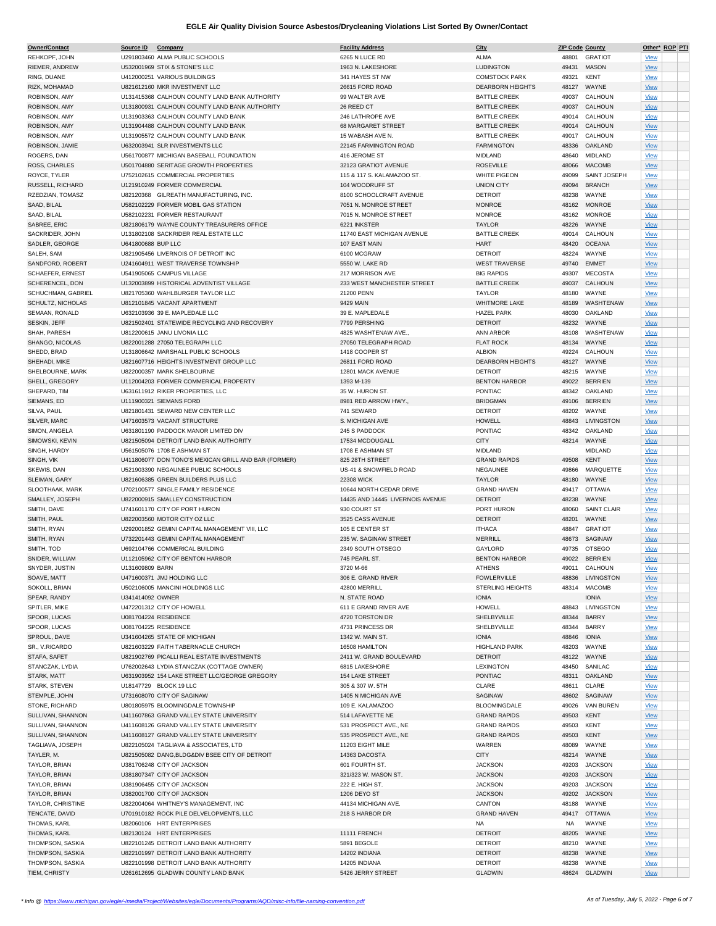| REHKOPF, JOHN           | Source ID            | Company                                              | <b>Facility Address</b>          | City                    |       | <b>ZIP Code County</b> | Other* ROP PTI |  |
|-------------------------|----------------------|------------------------------------------------------|----------------------------------|-------------------------|-------|------------------------|----------------|--|
|                         |                      | U291803460 ALMA PUBLIC SCHOOLS                       | 6265 N LUCE RD                   | ALMA                    | 48801 | <b>GRATIOT</b>         | <b>View</b>    |  |
| RIEMER, ANDREW          |                      | U532001969 STIX & STONE'S LLC                        | 1963 N. LAKESHORE                | <b>LUDINGTON</b>        | 49431 | <b>MASON</b>           | <b>View</b>    |  |
|                         |                      |                                                      |                                  |                         |       |                        |                |  |
| RING, DUANE             |                      | U412000251 VARIOUS BUILDINGS                         | 341 HAYES ST NW                  | <b>COMSTOCK PARK</b>    | 49321 | KENT                   | <b>View</b>    |  |
| RIZK. MOHAMAD           |                      | U821612160 MKR INVESTMENT LLC                        | 26615 FORD ROAD                  | <b>DEARBORN HEIGHTS</b> | 48127 | WAYNE                  | <b>View</b>    |  |
| ROBINSON, AMY           |                      | U131415368 CALHOUN COUNTY LAND BANK AUTHORITY        | 99 WALTER AVE                    | <b>BATTLE CREEK</b>     | 49037 | CALHOUN                | <b>View</b>    |  |
| ROBINSON, AMY           |                      | U131800931 CALHOUN COUNTY LAND BANK AUTHORITY        | 26 REED CT                       | <b>BATTLE CREEK</b>     | 49037 | CALHOUN                | <b>View</b>    |  |
|                         |                      |                                                      | 246 LATHROPE AVE                 |                         |       |                        |                |  |
| ROBINSON, AMY           |                      | U131903363 CALHOUN COUNTY LAND BANK                  |                                  | <b>BATTLE CREEK</b>     | 49014 | CALHOUN                | <u>View</u>    |  |
| ROBINSON, AMY           |                      | U131904488 CALHOUN COUNTY LAND BANK                  | 68 MARGARET STREET               | <b>BATTLE CREEK</b>     | 49014 | CALHOUN                | <b>View</b>    |  |
| ROBINSON, AMY           |                      | U131905572 CALHOUN COUNTY LAND BANK                  | 15 WABASH AVE N.                 | <b>BATTLE CREEK</b>     | 49017 | CALHOUN                | <b>View</b>    |  |
| ROBINSON, JAMIE         |                      | U632003941 SLR INVESTMENTS LLC                       | 22145 FARMINGTON ROAD            | <b>FARMINGTON</b>       | 48336 | OAKLAND                | <b>View</b>    |  |
|                         |                      |                                                      | 416 JEROME ST                    |                         |       |                        |                |  |
| ROGERS, DAN             |                      | U561700877 MICHIGAN BASEBALL FOUNDATION              |                                  | <b>MIDLAND</b>          | 48640 | MIDLAND                | <b>View</b>    |  |
| ROSS, CHARLES           |                      | U501704880 SERITAGE GROWTH PROPERTIES                | 32123 GRATIOT AVENUE             | <b>ROSEVILLE</b>        | 48066 | <b>MACOMB</b>          | <b>View</b>    |  |
| ROYCE, TYLER            |                      | U752102615 COMMERCIAL PROPERTIES                     | 115 & 117 S. KALAMAZOO ST.       | <b>WHITE PIGEON</b>     | 49099 | SAINT JOSEPH           | <b>View</b>    |  |
| RUSSELL, RICHARD        |                      | U121910249 FORMER COMMERCIAL                         | 104 WOODRUFF ST                  | <b>UNION CITY</b>       | 49094 | <b>BRANCH</b>          | <b>View</b>    |  |
|                         |                      |                                                      |                                  |                         |       |                        |                |  |
| RZEDZIAN, TOMASZ        |                      | U82120368 GILREATH MANUFACTURING, INC.               | 8100 SCHOOLCRAFT AVENUE          | <b>DETROIT</b>          | 48238 | WAYNE                  | <b>View</b>    |  |
| SAAD, BILAL             |                      | U582102229 FORMER MOBIL GAS STATION                  | 7051 N. MONROE STREET            | <b>MONROE</b>           | 48162 | <b>MONROE</b>          | <b>View</b>    |  |
| SAAD, BILAL             |                      | U582102231 FORMER RESTAURANT                         | 7015 N. MONROE STREET            | <b>MONROE</b>           | 48162 | <b>MONROE</b>          | <b>View</b>    |  |
| SABREE, ERIC            |                      | U821806179 WAYNE COUNTY TREASURERS OFFICE            | 6221 INKSTER                     | <b>TAYLOR</b>           | 48226 | WAYNE                  | <b>View</b>    |  |
|                         |                      |                                                      |                                  |                         |       |                        |                |  |
| SACKRIDER, JOHN         |                      | U131802108 SACKRIDER REAL ESTATE LLC                 | 11740 EAST MICHIGAN AVENUE       | <b>BATTLE CREEK</b>     | 49014 | CALHOUN                | View           |  |
| SADLER, GEORGE          | U641800688 BUP LLC   |                                                      | 107 EAST MAIN                    | <b>HART</b>             | 48420 | <b>OCEANA</b>          | <b>View</b>    |  |
| SALEH, SAM              |                      | U821905456 LIVERNOIS OF DETROIT INC                  | 6100 MCGRAW                      | <b>DETROIT</b>          | 48224 | WAYNE                  | <b>View</b>    |  |
| SANDFORD, ROBERT        |                      | U241604911 WEST TRAVERSE TOWNSHIP                    | 5550 W. LAKE RD                  | <b>WEST TRAVERSE</b>    | 49740 | <b>EMMET</b>           | <b>View</b>    |  |
|                         |                      |                                                      |                                  |                         |       |                        |                |  |
| <b>SCHAEFER, ERNEST</b> |                      | U541905065 CAMPUS VILLAGE                            | 217 MORRISON AVE                 | <b>BIG RAPIDS</b>       | 49307 | <b>MECOSTA</b>         | <b>View</b>    |  |
| SCHERENCEL, DON         |                      | U132003899 HISTORICAL ADVENTIST VILLAGE              | 233 WEST MANCHESTER STREET       | <b>BATTLE CREEK</b>     | 49037 | CALHOUN                | <b>View</b>    |  |
| SCHUCHMAN, GABRIEL      |                      | U821705360 WAHLBURGER TAYLOR LLC                     | 21200 PENN                       | <b>TAYLOR</b>           | 48180 | WAYNE                  | <b>View</b>    |  |
| SCHULTZ, NICHOLAS       |                      | U812101845 VACANT APARTMENT                          | 9429 MAIN                        | <b>WHITMORE LAKE</b>    | 48189 | WASHTENAW              | <b>View</b>    |  |
|                         |                      |                                                      |                                  |                         |       |                        |                |  |
| SEMAAN, RONALD          |                      | U632103936 39 E. MAPLEDALE LLC                       | 39 E. MAPLEDALE                  | <b>HAZEL PARK</b>       | 48030 | OAKLAND                | <b>View</b>    |  |
| SESKIN, JEFF            |                      | U821502401 STATEWIDE RECYCLING AND RECOVERY          | 7799 PERSHING                    | <b>DETROIT</b>          | 48232 | WAYNE                  | <b>View</b>    |  |
| SHAH, PARESH            |                      | U812200615 JANU LIVONIA LLC                          | 4825 WASHTENAW AVE.,             | ANN ARBOR               | 48108 | WASHTENAW              | <b>View</b>    |  |
| SHANGO, NICOLAS         |                      | U822001288 27050 TELEGRAPH LLC                       | 27050 TELEGRAPH ROAD             | <b>FLAT ROCK</b>        | 48134 | WAYNE                  |                |  |
|                         |                      |                                                      |                                  |                         |       |                        | <b>View</b>    |  |
| SHEDD, BRAD             |                      | U131806642 MARSHALL PUBLIC SCHOOLS                   | 1418 COOPER ST                   | <b>ALBION</b>           | 49224 | CALHOUN                | <b>View</b>    |  |
| SHEHADI, MIKE           |                      | U821607716 HEIGHTS INVESTMENT GROUP LLC              | 26811 FORD ROAD                  | <b>DEARBORN HEIGHTS</b> | 48127 | WAYNE                  | <b>View</b>    |  |
| SHELBOURNE, MARK        |                      | U822000357 MARK SHELBOURNE                           | 12801 MACK AVENUE                | <b>DETROIT</b>          | 48215 | WAYNE                  | <b>View</b>    |  |
| SHELL, GREGORY          |                      | U112004203 FORMER COMMERICAL PROPERTY                | 1393 M-139                       | <b>BENTON HARBOR</b>    | 49022 | <b>BERRIEN</b>         | <b>View</b>    |  |
|                         |                      |                                                      |                                  |                         |       |                        |                |  |
| SHEPARD, TIM            |                      | U631611912 RIKER PROPERTIES, LLC                     | 35 W. HURON ST.                  | <b>PONTIAC</b>          | 48342 | OAKLAND                | <b>View</b>    |  |
| SIEMANS, ED             |                      | U111900321 SIEMANS FORD                              | 8981 RED ARROW HWY.,             | <b>BRIDGMAN</b>         | 49106 | <b>BERRIEN</b>         | <b>View</b>    |  |
| SILVA, PAUL             |                      | U821801431 SEWARD NEW CENTER LLC                     | 741 SEWARD                       | <b>DETROIT</b>          | 48202 | WAYNE                  | <b>View</b>    |  |
|                         |                      |                                                      |                                  |                         |       | LIVINGSTON             |                |  |
| SILVER, MARC            |                      | U471603573 VACANT STRUCTURE                          | S. MICHIGAN AVE                  | HOWELL                  | 48843 |                        | <b>View</b>    |  |
| SIMON, ANGELA           |                      | U631801190 PADDOCK MANOR LIMITED DIV                 | 245 S PADDOCK                    | PONTIAC                 | 48342 | OAKLAND                | View           |  |
| SIMOWSKI, KEVIN         |                      | U821505094 DETROIT LAND BANK AUTHORITY               | 17534 MCDOUGALL                  | <b>CITY</b>             |       | 48214 WAYNE            | <b>View</b>    |  |
| SINGH, HARDY            |                      | U561505076 1708 E ASHMAN ST                          | 1708 E ASHMAN ST                 | <b>MIDLAND</b>          |       | <b>MIDLAND</b>         | <b>View</b>    |  |
|                         |                      |                                                      |                                  |                         |       |                        |                |  |
| SINGH, VIK              |                      | U411806077 DON TONO'S MEXICAN GRILL AND BAR (FORMER) | 825 28TH STREET                  | <b>GRAND RAPIDS</b>     | 49508 | KENT                   | <b>View</b>    |  |
| SKEWIS, DAN             |                      | U521903390 NEGAUNEE PUBLIC SCHOOLS                   | US-41 & SNOWFIELD ROAD           | NEGAUNEE                | 49866 | MARQUETTE              | <b>View</b>    |  |
| SLEIMAN, GARY           |                      | U821606385 GREEN BUILDERS PLUS LLC                   | <b>22308 WICK</b>                | <b>TAYLOR</b>           | 48180 | WAYNE                  | <b>View</b>    |  |
| SLOOTHAAK, MARK         |                      | U702100577 SINGLE FAMILY RESIDENCE                   | 10644 NORTH CEDAR DRIVE          | <b>GRAND HAVEN</b>      |       | 49417 OTTAWA           | <b>View</b>    |  |
|                         |                      |                                                      |                                  |                         |       |                        |                |  |
| SMALLEY, JOSEPH         |                      | U822000915 SMALLEY CONSTRUCTION                      | 14435 AND 14445 LIVERNOIS AVENUE | <b>DETROIT</b>          | 48238 | WAYNE                  | <b>View</b>    |  |
| SMITH, DAVE             |                      | U741601170 CITY OF PORT HURON                        | 930 COURT ST                     | PORT HURON              | 48060 | SAINT CLAIR            | <b>View</b>    |  |
| SMITH, PAUL             |                      | U822003560 MOTOR CITY OZ LLC                         | 3525 CASS AVENUE                 | <b>DETROIT</b>          | 48201 | WAYNE                  | <b>View</b>    |  |
| SMITH, RYAN             |                      | U292001852 GEMINI CAPITAL MANAGEMENT VIII. LLC       | 105 E CENTER ST                  | <b>ITHACA</b>           | 48847 | <b>GRATIOT</b>         | <b>View</b>    |  |
|                         |                      |                                                      |                                  |                         |       |                        |                |  |
| SMITH, RYAN             |                      | U732201443 GEMINI CAPITAL MANAGEMENT                 | 235 W. SAGINAW STREET            | <b>MERRILL</b>          | 48673 | SAGINAW                | <b>View</b>    |  |
| SMITH, TOD              |                      | U692104766 COMMERICAL BUILDING                       | 2349 SOUTH OTSEGO                | GAYLORD                 | 49735 | <b>OTSEGO</b>          | <b>View</b>    |  |
| SNIDER, WILLIAM         |                      | U112105962 CITY OF BENTON HARBOR                     | 745 PEARL ST.                    | <b>BENTON HARBOR</b>    |       | 49022 BERRIEN          | <b>View</b>    |  |
|                         |                      |                                                      | 3720 M-66                        |                         |       |                        |                |  |
|                         |                      |                                                      |                                  |                         |       |                        |                |  |
| SNYDER, JUSTIN          | U131609809 BARN      |                                                      |                                  | ATHENS                  |       | 49011 CALHOUN          | View           |  |
| SOAVE, MATT             |                      | U471600371 JMJ HOLDING LLC                           | 306 E. GRAND RIVER               | <b>FOWLERVILLE</b>      | 48836 | LIVINGSTON             | <b>View</b>    |  |
| SOKOLL, BRIAN           |                      | U502106005 MANCINI HOLDINGS LLC                      | 42800 MERRILL                    | <b>STERLING HEIGHTS</b> | 48314 | <b>MACOMB</b>          | <b>View</b>    |  |
| SPEAR, RANDY            | U341414092 OWNER     |                                                      | N. STATE ROAD                    | <b>IONIA</b>            |       | <b>IONIA</b>           | <b>View</b>    |  |
|                         |                      |                                                      |                                  |                         |       |                        |                |  |
| SPITLER, MIKE           |                      | U472201312 CITY OF HOWELL                            | 611 E GRAND RIVER AVE            | <b>HOWELL</b>           | 48843 | LIVINGSTON             | <b>View</b>    |  |
| SPOOR, LUCAS            | U081704224 RESIDENCE |                                                      | 4720 TORSTON DR                  | SHELBYVILLE             | 48344 | <b>BARRY</b>           | <b>View</b>    |  |
| SPOOR, LUCAS            | U081704225 RESIDENCE |                                                      | 4731 PRINCESS DR                 | SHELBYVILLE             | 48344 | BARRY                  | <b>View</b>    |  |
| SPROUL, DAVE            |                      | U341604265 STATE OF MICHIGAN                         | 1342 W. MAIN ST.                 | <b>IONIA</b>            | 48846 | <b>IONIA</b>           | <b>View</b>    |  |
| SR., V.RICARDO          |                      |                                                      |                                  | <b>HIGHLAND PARK</b>    |       |                        |                |  |
|                         |                      | U821603229 FAITH TABERNACLE CHURCH                   | 16508 HAMILTON                   |                         | 48203 | WAYNE                  | <b>View</b>    |  |
| STAFA, SAFET            |                      | U821902769 PICALLI REAL ESTATE INVESTMENTS           | 2411 W. GRAND BOULEVARD          | <b>DETROIT</b>          | 48122 | WAYNE                  | <b>View</b>    |  |
| STANCZAK, LYDIA         |                      | U762002643 LYDIA STANCZAK (COTTAGE OWNER)            | 6815 LAKESHORE                   | LEXINGTON               | 48450 | SANILAC                | <b>View</b>    |  |
| STARK, MATT             |                      | U631903952 154 LAKE STREET LLC/GEORGE GREGORY        | 154 LAKE STREET                  | <b>PONTIAC</b>          | 48311 | OAKLAND                | <b>View</b>    |  |
|                         |                      | U18147729 BLOCK 19 LLC                               | 305 & 307 W. 5TH                 | CLARE                   |       | CLARE                  |                |  |
| STARK, STEVEN           |                      |                                                      |                                  |                         | 48611 |                        | <b>View</b>    |  |
| STEMPLE, JOHN           |                      | U731608070 CITY OF SAGINAW                           | 1405 N MICHIGAN AVE              | SAGINAW                 | 48602 | SAGINAW                | <b>View</b>    |  |
| STONE, RICHARD          |                      | U801805975 BLOOMINGDALE TOWNSHIP                     | 109 E. KALAMAZOO                 | <b>BLOOMINGDALE</b>     | 49026 | <b>VAN BUREN</b>       | <b>View</b>    |  |
| SULLIVAN, SHANNON       |                      | U411607863 GRAND VALLEY STATE UNIVERSITY             | 514 LAFAYETTE NE                 | <b>GRAND RAPIDS</b>     | 49503 | <b>KENT</b>            | <b>View</b>    |  |
| SULLIVAN, SHANNON       |                      | U411608126 GRAND VALLEY STATE UNIVERSITY             | 531 PROSPECT AVE., NE            | <b>GRAND RAPIDS</b>     | 49503 | KENT                   |                |  |
|                         |                      |                                                      |                                  |                         |       |                        | <b>View</b>    |  |
| SULLIVAN, SHANNON       |                      | U411608127 GRAND VALLEY STATE UNIVERSITY             | 535 PROSPECT AVE., NE            | <b>GRAND RAPIDS</b>     | 49503 | <b>KENT</b>            | <b>View</b>    |  |
| TAGLIAVA, JOSEPH        |                      | U822105024 TAGLIAVA & ASSOCIATES, LTD                | 11203 EIGHT MILE                 | WARREN                  | 48089 | WAYNE                  | <b>View</b>    |  |
| TAYLER, M.              |                      | U821505082 DANG, BLDG&DIV BSEE CITY OF DETROIT       | 14363 DACOSTA                    | <b>CITY</b>             | 48214 | WAYNE                  | <b>View</b>    |  |
|                         |                      |                                                      |                                  |                         |       |                        |                |  |
| TAYLOR, BRIAN           |                      | U381706248 CITY OF JACKSON                           | 601 FOURTH ST.                   | <b>JACKSON</b>          | 49203 | <b>JACKSON</b>         | <b>View</b>    |  |
| TAYLOR, BRIAN           |                      | U381807347 CITY OF JACKSON                           | 321/323 W. MASON ST.             | <b>JACKSON</b>          | 49203 | <b>JACKSON</b>         | <b>View</b>    |  |
| TAYLOR, BRIAN           |                      | U381906455 CITY OF JACKSON                           | 222 E. HIGH ST.                  | <b>JACKSON</b>          | 49203 | <b>JACKSON</b>         | <b>View</b>    |  |
| TAYLOR, BRIAN           |                      | U382001700 CITY OF JACKSON                           | 1206 DEYO ST                     | <b>JACKSON</b>          | 49202 | <b>JACKSON</b>         | <b>View</b>    |  |
|                         |                      |                                                      |                                  |                         |       |                        |                |  |
| TAYLOR, CHRISTINE       |                      | U822004064 WHITNEY'S MANAGEMENT, INC                 | 44134 MICHIGAN AVE.              | CANTON                  | 48188 | WAYNE                  | <b>View</b>    |  |
| TENCATE, DAVID          |                      | U701910182 ROCK PILE DELVELOPMENTS, LLC              | 218 S HARBOR DR                  | <b>GRAND HAVEN</b>      | 49417 | <b>OTTAWA</b>          | <b>View</b>    |  |
| THOMAS, KARL            |                      | U82060106 HRT ENTERPRISES                            |                                  | NA                      | NA    | WAYNE                  | <b>View</b>    |  |
| THOMAS, KARL            |                      | U82130124 HRT ENTERPRISES                            | 11111 FRENCH                     | <b>DETROIT</b>          | 48205 | WAYNE                  |                |  |
|                         |                      |                                                      |                                  |                         |       |                        | <b>View</b>    |  |
| THOMPSON, SASKIA        |                      | U822101245 DETROIT LAND BANK AUTHORITY               | 5891 BEGOLE                      | <b>DETROIT</b>          | 48210 | WAYNE                  | <b>View</b>    |  |
| THOMPSON, SASKIA        |                      | U822101997 DETROIT LAND BANK AUTHORITY               | 14202 INDIANA                    | <b>DETROIT</b>          | 48238 | WAYNE                  | <b>View</b>    |  |
| THOMPSON, SASKIA        |                      | U822101998 DETROIT LAND BANK AUTHORITY               | 14205 INDIANA                    | <b>DETROIT</b>          | 48238 | WAYNE                  | <b>View</b>    |  |
| TIEM, CHRISTY           |                      | U261612695 GLADWIN COUNTY LAND BANK                  | 5426 JERRY STREET                | <b>GLADWIN</b>          |       | 48624 GLADWIN          | <b>View</b>    |  |